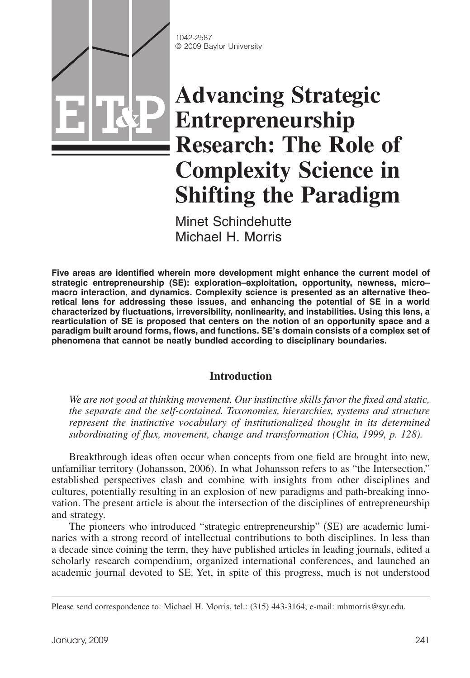1042-2587 © 2009 Baylor University

**E T&P**

# **Advancing Strategic Entrepreneurship Research: The Role of Complexity Science in Shifting the Paradigm**

Minet Schindehutte Michael H. Morris

**Five areas are identified wherein more development might enhance the current model of strategic entrepreneurship (SE): exploration–exploitation, opportunity, newness, micro– macro interaction, and dynamics. Complexity science is presented as an alternative theoretical lens for addressing these issues, and enhancing the potential of SE in a world characterized by fluctuations, irreversibility, nonlinearity, and instabilities. Using this lens, a rearticulation of SE is proposed that centers on the notion of an opportunity space and a paradigm built around forms, flows, and functions. SE's domain consists of a complex set of phenomena that cannot be neatly bundled according to disciplinary boundaries.**

## **Introduction**

*We are not good at thinking movement. Our instinctive skills favor the fixed and static, the separate and the self-contained. Taxonomies, hierarchies, systems and structure represent the instinctive vocabulary of institutionalized thought in its determined subordinating of flux, movement, change and transformation (Chia, 1999, p. 128).*

Breakthrough ideas often occur when concepts from one field are brought into new, unfamiliar territory (Johansson, 2006). In what Johansson refers to as "the Intersection," established perspectives clash and combine with insights from other disciplines and cultures, potentially resulting in an explosion of new paradigms and path-breaking innovation. The present article is about the intersection of the disciplines of entrepreneurship and strategy.

The pioneers who introduced "strategic entrepreneurship" (SE) are academic luminaries with a strong record of intellectual contributions to both disciplines. In less than a decade since coining the term, they have published articles in leading journals, edited a scholarly research compendium, organized international conferences, and launched an academic journal devoted to SE. Yet, in spite of this progress, much is not understood

Please send correspondence to: Michael H. Morris, tel.: (315) 443-3164; e-mail: [mhmorris@syr.edu.](mailto:mhmorris@syr.edu)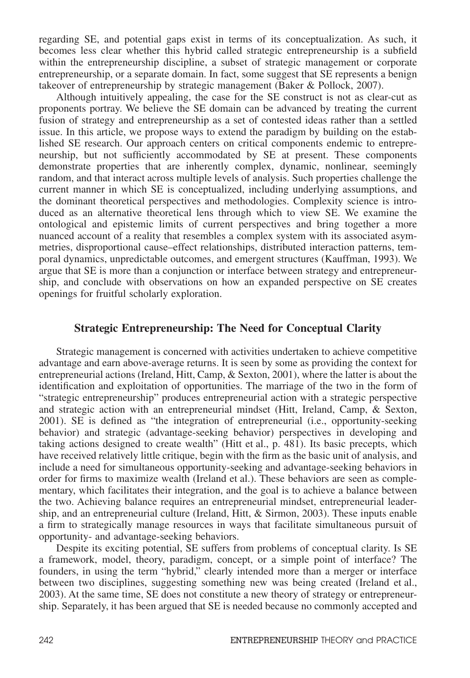regarding SE, and potential gaps exist in terms of its conceptualization. As such, it becomes less clear whether this hybrid called strategic entrepreneurship is a subfield within the entrepreneurship discipline, a subset of strategic management or corporate entrepreneurship, or a separate domain. In fact, some suggest that SE represents a benign takeover of entrepreneurship by strategic management (Baker & Pollock, 2007).

Although intuitively appealing, the case for the SE construct is not as clear-cut as proponents portray. We believe the SE domain can be advanced by treating the current fusion of strategy and entrepreneurship as a set of contested ideas rather than a settled issue. In this article, we propose ways to extend the paradigm by building on the established SE research. Our approach centers on critical components endemic to entrepreneurship, but not sufficiently accommodated by SE at present. These components demonstrate properties that are inherently complex, dynamic, nonlinear, seemingly random, and that interact across multiple levels of analysis. Such properties challenge the current manner in which SE is conceptualized, including underlying assumptions, and the dominant theoretical perspectives and methodologies. Complexity science is introduced as an alternative theoretical lens through which to view SE. We examine the ontological and epistemic limits of current perspectives and bring together a more nuanced account of a reality that resembles a complex system with its associated asymmetries, disproportional cause–effect relationships, distributed interaction patterns, temporal dynamics, unpredictable outcomes, and emergent structures (Kauffman, 1993). We argue that SE is more than a conjunction or interface between strategy and entrepreneurship, and conclude with observations on how an expanded perspective on SE creates openings for fruitful scholarly exploration.

#### **Strategic Entrepreneurship: The Need for Conceptual Clarity**

Strategic management is concerned with activities undertaken to achieve competitive advantage and earn above-average returns. It is seen by some as providing the context for entrepreneurial actions (Ireland, Hitt, Camp, & Sexton, 2001), where the latter is about the identification and exploitation of opportunities. The marriage of the two in the form of "strategic entrepreneurship" produces entrepreneurial action with a strategic perspective and strategic action with an entrepreneurial mindset (Hitt, Ireland, Camp, & Sexton, 2001). SE is defined as "the integration of entrepreneurial (i.e., opportunity-seeking behavior) and strategic (advantage-seeking behavior) perspectives in developing and taking actions designed to create wealth" (Hitt et al., p. 481). Its basic precepts, which have received relatively little critique, begin with the firm as the basic unit of analysis, and include a need for simultaneous opportunity-seeking and advantage-seeking behaviors in order for firms to maximize wealth (Ireland et al.). These behaviors are seen as complementary, which facilitates their integration, and the goal is to achieve a balance between the two. Achieving balance requires an entrepreneurial mindset, entrepreneurial leadership, and an entrepreneurial culture (Ireland, Hitt, & Sirmon, 2003). These inputs enable a firm to strategically manage resources in ways that facilitate simultaneous pursuit of opportunity- and advantage-seeking behaviors.

Despite its exciting potential, SE suffers from problems of conceptual clarity. Is SE a framework, model, theory, paradigm, concept, or a simple point of interface? The founders, in using the term "hybrid," clearly intended more than a merger or interface between two disciplines, suggesting something new was being created (Ireland et al., 2003). At the same time, SE does not constitute a new theory of strategy or entrepreneurship. Separately, it has been argued that SE is needed because no commonly accepted and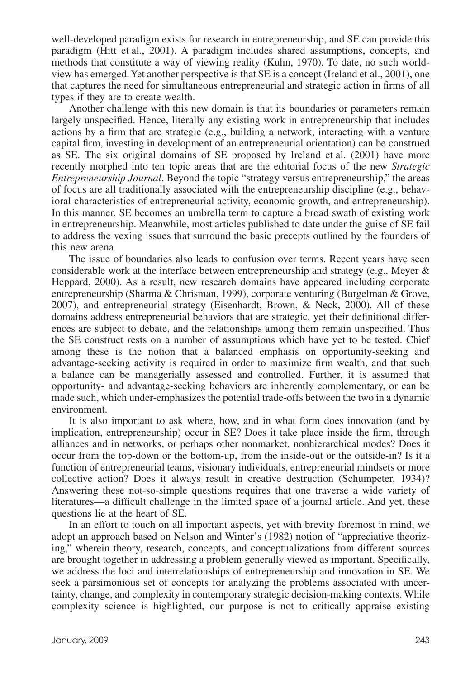well-developed paradigm exists for research in entrepreneurship, and SE can provide this paradigm (Hitt et al., 2001). A paradigm includes shared assumptions, concepts, and methods that constitute a way of viewing reality (Kuhn, 1970). To date, no such worldview has emerged.Yet another perspective is that SE is a concept (Ireland et al., 2001), one that captures the need for simultaneous entrepreneurial and strategic action in firms of all types if they are to create wealth.

Another challenge with this new domain is that its boundaries or parameters remain largely unspecified. Hence, literally any existing work in entrepreneurship that includes actions by a firm that are strategic (e.g., building a network, interacting with a venture capital firm, investing in development of an entrepreneurial orientation) can be construed as SE. The six original domains of SE proposed by Ireland et al. (2001) have more recently morphed into ten topic areas that are the editorial focus of the new *Strategic Entrepreneurship Journal*. Beyond the topic "strategy versus entrepreneurship," the areas of focus are all traditionally associated with the entrepreneurship discipline (e.g., behavioral characteristics of entrepreneurial activity, economic growth, and entrepreneurship). In this manner, SE becomes an umbrella term to capture a broad swath of existing work in entrepreneurship. Meanwhile, most articles published to date under the guise of SE fail to address the vexing issues that surround the basic precepts outlined by the founders of this new arena.

The issue of boundaries also leads to confusion over terms. Recent years have seen considerable work at the interface between entrepreneurship and strategy (e.g., Meyer  $\&$ Heppard, 2000). As a result, new research domains have appeared including corporate entrepreneurship (Sharma & Chrisman, 1999), corporate venturing (Burgelman & Grove, 2007), and entrepreneurial strategy (Eisenhardt, Brown, & Neck, 2000). All of these domains address entrepreneurial behaviors that are strategic, yet their definitional differences are subject to debate, and the relationships among them remain unspecified. Thus the SE construct rests on a number of assumptions which have yet to be tested. Chief among these is the notion that a balanced emphasis on opportunity-seeking and advantage-seeking activity is required in order to maximize firm wealth, and that such a balance can be managerially assessed and controlled. Further, it is assumed that opportunity- and advantage-seeking behaviors are inherently complementary, or can be made such, which under-emphasizes the potential trade-offs between the two in a dynamic environment.

It is also important to ask where, how, and in what form does innovation (and by implication, entrepreneurship) occur in SE? Does it take place inside the firm, through alliances and in networks, or perhaps other nonmarket, nonhierarchical modes? Does it occur from the top-down or the bottom-up, from the inside-out or the outside-in? Is it a function of entrepreneurial teams, visionary individuals, entrepreneurial mindsets or more collective action? Does it always result in creative destruction (Schumpeter, 1934)? Answering these not-so-simple questions requires that one traverse a wide variety of literatures—a difficult challenge in the limited space of a journal article. And yet, these questions lie at the heart of SE.

In an effort to touch on all important aspects, yet with brevity foremost in mind, we adopt an approach based on Nelson and Winter's (1982) notion of "appreciative theorizing," wherein theory, research, concepts, and conceptualizations from different sources are brought together in addressing a problem generally viewed as important. Specifically, we address the loci and interrelationships of entrepreneurship and innovation in SE. We seek a parsimonious set of concepts for analyzing the problems associated with uncertainty, change, and complexity in contemporary strategic decision-making contexts. While complexity science is highlighted, our purpose is not to critically appraise existing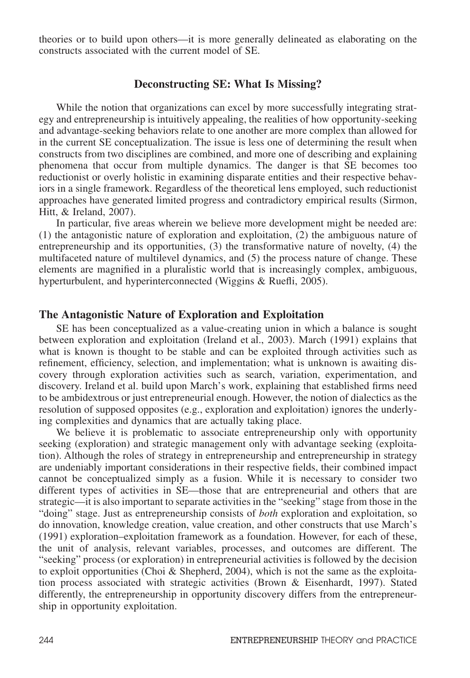theories or to build upon others—it is more generally delineated as elaborating on the constructs associated with the current model of SE.

#### **Deconstructing SE: What Is Missing?**

While the notion that organizations can excel by more successfully integrating strategy and entrepreneurship is intuitively appealing, the realities of how opportunity-seeking and advantage-seeking behaviors relate to one another are more complex than allowed for in the current SE conceptualization. The issue is less one of determining the result when constructs from two disciplines are combined, and more one of describing and explaining phenomena that occur from multiple dynamics. The danger is that SE becomes too reductionist or overly holistic in examining disparate entities and their respective behaviors in a single framework. Regardless of the theoretical lens employed, such reductionist approaches have generated limited progress and contradictory empirical results (Sirmon, Hitt, & Ireland, 2007).

In particular, five areas wherein we believe more development might be needed are: (1) the antagonistic nature of exploration and exploitation, (2) the ambiguous nature of entrepreneurship and its opportunities, (3) the transformative nature of novelty, (4) the multifaceted nature of multilevel dynamics, and (5) the process nature of change. These elements are magnified in a pluralistic world that is increasingly complex, ambiguous, hyperturbulent, and hyperinterconnected (Wiggins & Ruefli, 2005).

#### **The Antagonistic Nature of Exploration and Exploitation**

SE has been conceptualized as a value-creating union in which a balance is sought between exploration and exploitation (Ireland et al., 2003). March (1991) explains that what is known is thought to be stable and can be exploited through activities such as refinement, efficiency, selection, and implementation; what is unknown is awaiting discovery through exploration activities such as search, variation, experimentation, and discovery. Ireland et al. build upon March's work, explaining that established firms need to be ambidextrous or just entrepreneurial enough. However, the notion of dialectics as the resolution of supposed opposites (e.g., exploration and exploitation) ignores the underlying complexities and dynamics that are actually taking place.

We believe it is problematic to associate entrepreneurship only with opportunity seeking (exploration) and strategic management only with advantage seeking (exploitation). Although the roles of strategy in entrepreneurship and entrepreneurship in strategy are undeniably important considerations in their respective fields, their combined impact cannot be conceptualized simply as a fusion. While it is necessary to consider two different types of activities in SE—those that are entrepreneurial and others that are strategic—it is also important to separate activities in the "seeking" stage from those in the "doing" stage. Just as entrepreneurship consists of *both* exploration and exploitation, so do innovation, knowledge creation, value creation, and other constructs that use March's (1991) exploration–exploitation framework as a foundation. However, for each of these, the unit of analysis, relevant variables, processes, and outcomes are different. The "seeking" process (or exploration) in entrepreneurial activities is followed by the decision to exploit opportunities (Choi & Shepherd, 2004), which is not the same as the exploitation process associated with strategic activities (Brown & Eisenhardt, 1997). Stated differently, the entrepreneurship in opportunity discovery differs from the entrepreneurship in opportunity exploitation.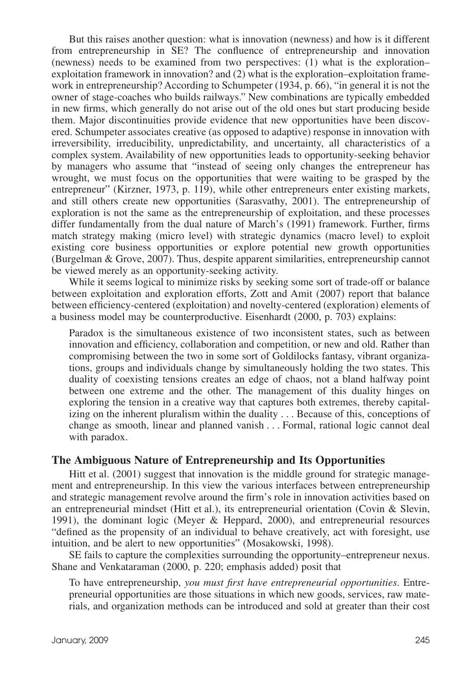But this raises another question: what is innovation (newness) and how is it different from entrepreneurship in SE? The confluence of entrepreneurship and innovation (newness) needs to be examined from two perspectives: (1) what is the exploration– exploitation framework in innovation? and (2) what is the exploration–exploitation framework in entrepreneurship? According to Schumpeter (1934, p. 66), "in general it is not the owner of stage-coaches who builds railways." New combinations are typically embedded in new firms, which generally do not arise out of the old ones but start producing beside them. Major discontinuities provide evidence that new opportunities have been discovered. Schumpeter associates creative (as opposed to adaptive) response in innovation with irreversibility, irreducibility, unpredictability, and uncertainty, all characteristics of a complex system. Availability of new opportunities leads to opportunity-seeking behavior by managers who assume that "instead of seeing only changes the entrepreneur has wrought, we must focus on the opportunities that were waiting to be grasped by the entrepreneur" (Kirzner, 1973, p. 119), while other entrepreneurs enter existing markets, and still others create new opportunities (Sarasvathy, 2001). The entrepreneurship of exploration is not the same as the entrepreneurship of exploitation, and these processes differ fundamentally from the dual nature of March's (1991) framework. Further, firms match strategy making (micro level) with strategic dynamics (macro level) to exploit existing core business opportunities or explore potential new growth opportunities (Burgelman & Grove, 2007). Thus, despite apparent similarities, entrepreneurship cannot be viewed merely as an opportunity-seeking activity.

While it seems logical to minimize risks by seeking some sort of trade-off or balance between exploitation and exploration efforts, Zott and Amit (2007) report that balance between efficiency-centered (exploitation) and novelty-centered (exploration) elements of a business model may be counterproductive. Eisenhardt (2000, p. 703) explains:

Paradox is the simultaneous existence of two inconsistent states, such as between innovation and efficiency, collaboration and competition, or new and old. Rather than compromising between the two in some sort of Goldilocks fantasy, vibrant organizations, groups and individuals change by simultaneously holding the two states. This duality of coexisting tensions creates an edge of chaos, not a bland halfway point between one extreme and the other. The management of this duality hinges on exploring the tension in a creative way that captures both extremes, thereby capitalizing on the inherent pluralism within the duality... Because of this, conceptions of change as smooth, linear and planned vanish... Formal, rational logic cannot deal with paradox.

#### **The Ambiguous Nature of Entrepreneurship and Its Opportunities**

Hitt et al. (2001) suggest that innovation is the middle ground for strategic management and entrepreneurship. In this view the various interfaces between entrepreneurship and strategic management revolve around the firm's role in innovation activities based on an entrepreneurial mindset (Hitt et al.), its entrepreneurial orientation (Covin & Slevin, 1991), the dominant logic (Meyer & Heppard, 2000), and entrepreneurial resources "defined as the propensity of an individual to behave creatively, act with foresight, use intuition, and be alert to new opportunities" (Mosakowski, 1998).

SE fails to capture the complexities surrounding the opportunity–entrepreneur nexus. Shane and Venkataraman (2000, p. 220; emphasis added) posit that

To have entrepreneurship, *you must first have entrepreneurial opportunities*. Entrepreneurial opportunities are those situations in which new goods, services, raw materials, and organization methods can be introduced and sold at greater than their cost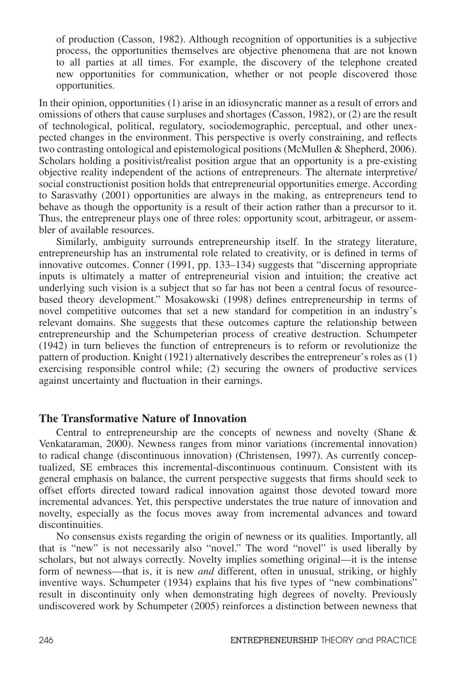of production (Casson, 1982). Although recognition of opportunities is a subjective process, the opportunities themselves are objective phenomena that are not known to all parties at all times. For example, the discovery of the telephone created new opportunities for communication, whether or not people discovered those opportunities.

In their opinion, opportunities (1) arise in an idiosyncratic manner as a result of errors and omissions of others that cause surpluses and shortages (Casson, 1982), or (2) are the result of technological, political, regulatory, sociodemographic, perceptual, and other unexpected changes in the environment. This perspective is overly constraining, and reflects two contrasting ontological and epistemological positions (McMullen & Shepherd, 2006). Scholars holding a positivist/realist position argue that an opportunity is a pre-existing objective reality independent of the actions of entrepreneurs. The alternate interpretive/ social constructionist position holds that entrepreneurial opportunities emerge. According to Sarasvathy (2001) opportunities are always in the making, as entrepreneurs tend to behave as though the opportunity is a result of their action rather than a precursor to it. Thus, the entrepreneur plays one of three roles: opportunity scout, arbitrageur, or assembler of available resources.

Similarly, ambiguity surrounds entrepreneurship itself. In the strategy literature, entrepreneurship has an instrumental role related to creativity, or is defined in terms of innovative outcomes. Conner (1991, pp. 133–134) suggests that "discerning appropriate inputs is ultimately a matter of entrepreneurial vision and intuition; the creative act underlying such vision is a subject that so far has not been a central focus of resourcebased theory development." Mosakowski (1998) defines entrepreneurship in terms of novel competitive outcomes that set a new standard for competition in an industry's relevant domains. She suggests that these outcomes capture the relationship between entrepreneurship and the Schumpeterian process of creative destruction. Schumpeter (1942) in turn believes the function of entrepreneurs is to reform or revolutionize the pattern of production. Knight (1921) alternatively describes the entrepreneur's roles as (1) exercising responsible control while; (2) securing the owners of productive services against uncertainty and fluctuation in their earnings.

#### **The Transformative Nature of Innovation**

Central to entrepreneurship are the concepts of newness and novelty (Shane & Venkataraman, 2000). Newness ranges from minor variations (incremental innovation) to radical change (discontinuous innovation) (Christensen, 1997). As currently conceptualized, SE embraces this incremental-discontinuous continuum. Consistent with its general emphasis on balance, the current perspective suggests that firms should seek to offset efforts directed toward radical innovation against those devoted toward more incremental advances. Yet, this perspective understates the true nature of innovation and novelty, especially as the focus moves away from incremental advances and toward discontinuities.

No consensus exists regarding the origin of newness or its qualities. Importantly, all that is "new" is not necessarily also "novel." The word "novel" is used liberally by scholars, but not always correctly. Novelty implies something original—it is the intense form of newness—that is, it is new *and* different, often in unusual, striking, or highly inventive ways. Schumpeter (1934) explains that his five types of "new combinations" result in discontinuity only when demonstrating high degrees of novelty. Previously undiscovered work by Schumpeter (2005) reinforces a distinction between newness that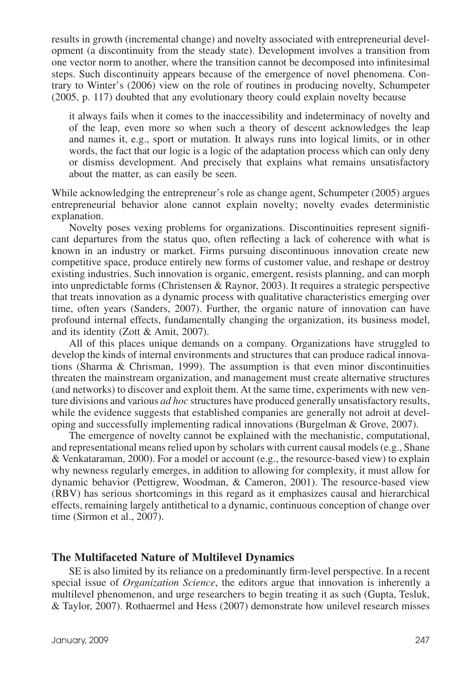results in growth (incremental change) and novelty associated with entrepreneurial development (a discontinuity from the steady state). Development involves a transition from one vector norm to another, where the transition cannot be decomposed into infinitesimal steps. Such discontinuity appears because of the emergence of novel phenomena. Contrary to Winter's (2006) view on the role of routines in producing novelty, Schumpeter (2005, p. 117) doubted that any evolutionary theory could explain novelty because

it always fails when it comes to the inaccessibility and indeterminacy of novelty and of the leap, even more so when such a theory of descent acknowledges the leap and names it, e.g., sport or mutation. It always runs into logical limits, or in other words, the fact that our logic is a logic of the adaptation process which can only deny or dismiss development. And precisely that explains what remains unsatisfactory about the matter, as can easily be seen.

While acknowledging the entrepreneur's role as change agent, Schumpeter (2005) argues entrepreneurial behavior alone cannot explain novelty; novelty evades deterministic explanation.

Novelty poses vexing problems for organizations. Discontinuities represent significant departures from the status quo, often reflecting a lack of coherence with what is known in an industry or market. Firms pursuing discontinuous innovation create new competitive space, produce entirely new forms of customer value, and reshape or destroy existing industries. Such innovation is organic, emergent, resists planning, and can morph into unpredictable forms (Christensen & Raynor, 2003). It requires a strategic perspective that treats innovation as a dynamic process with qualitative characteristics emerging over time, often years (Sanders, 2007). Further, the organic nature of innovation can have profound internal effects, fundamentally changing the organization, its business model, and its identity (Zott & Amit, 2007).

All of this places unique demands on a company. Organizations have struggled to develop the kinds of internal environments and structures that can produce radical innovations (Sharma & Chrisman, 1999). The assumption is that even minor discontinuities threaten the mainstream organization, and management must create alternative structures (and networks) to discover and exploit them. At the same time, experiments with new venture divisions and various *ad hoc* structures have produced generally unsatisfactory results, while the evidence suggests that established companies are generally not adroit at developing and successfully implementing radical innovations (Burgelman & Grove, 2007).

The emergence of novelty cannot be explained with the mechanistic, computational, and representational means relied upon by scholars with current causal models (e.g., Shane & Venkataraman, 2000). For a model or account (e.g., the resource-based view) to explain why newness regularly emerges, in addition to allowing for complexity, it must allow for dynamic behavior (Pettigrew, Woodman, & Cameron, 2001). The resource-based view (RBV) has serious shortcomings in this regard as it emphasizes causal and hierarchical effects, remaining largely antithetical to a dynamic, continuous conception of change over time (Sirmon et al., 2007).

#### **The Multifaceted Nature of Multilevel Dynamics**

SE is also limited by its reliance on a predominantly firm-level perspective. In a recent special issue of *Organization Science*, the editors argue that innovation is inherently a multilevel phenomenon, and urge researchers to begin treating it as such (Gupta, Tesluk, & Taylor, 2007). Rothaermel and Hess (2007) demonstrate how unilevel research misses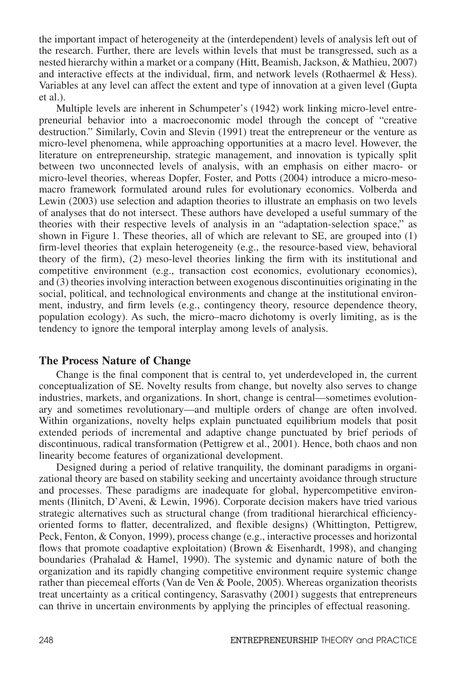the important impact of heterogeneity at the (interdependent) levels of analysis left out of the research. Further, there are levels within levels that must be transgressed, such as a nested hierarchy within a market or a company (Hitt, Beamish, Jackson, & Mathieu, 2007) and interactive effects at the individual, firm, and network levels (Rothaermel & Hess). Variables at any level can affect the extent and type of innovation at a given level (Gupta et al.).

Multiple levels are inherent in Schumpeter's (1942) work linking micro-level entrepreneurial behavior into a macroeconomic model through the concept of "creative destruction." Similarly, Covin and Slevin (1991) treat the entrepreneur or the venture as micro-level phenomena, while approaching opportunities at a macro level. However, the literature on entrepreneurship, strategic management, and innovation is typically split between two unconnected levels of analysis, with an emphasis on either macro- or micro-level theories, whereas Dopfer, Foster, and Potts (2004) introduce a micro-mesomacro framework formulated around rules for evolutionary economics. Volberda and Lewin (2003) use selection and adaption theories to illustrate an emphasis on two levels of analyses that do not intersect. These authors have developed a useful summary of the theories with their respective levels of analysis in an "adaptation-selection space," as shown in Figure 1. These theories, all of which are relevant to SE, are grouped into (1) firm-level theories that explain heterogeneity (e.g., the resource-based view, behavioral theory of the firm), (2) meso-level theories linking the firm with its institutional and competitive environment (e.g., transaction cost economics, evolutionary economics), and (3) theories involving interaction between exogenous discontinuities originating in the social, political, and technological environments and change at the institutional environment, industry, and firm levels (e.g., contingency theory, resource dependence theory, population ecology). As such, the micro–macro dichotomy is overly limiting, as is the tendency to ignore the temporal interplay among levels of analysis.

#### **The Process Nature of Change**

Change is the final component that is central to, yet underdeveloped in, the current conceptualization of SE. Novelty results from change, but novelty also serves to change industries, markets, and organizations. In short, change is central—sometimes evolutionary and sometimes revolutionary—and multiple orders of change are often involved. Within organizations, novelty helps explain punctuated equilibrium models that posit extended periods of incremental and adaptive change punctuated by brief periods of discontinuous, radical transformation (Pettigrew et al., 2001). Hence, both chaos and non linearity become features of organizational development.

Designed during a period of relative tranquility, the dominant paradigms in organizational theory are based on stability seeking and uncertainty avoidance through structure and processes. These paradigms are inadequate for global, hypercompetitive environments (Ilinitch, D'Aveni, & Lewin, 1996). Corporate decision makers have tried various strategic alternatives such as structural change (from traditional hierarchical efficiencyoriented forms to flatter, decentralized, and flexible designs) (Whittington, Pettigrew, Peck, Fenton, & Conyon, 1999), process change (e.g., interactive processes and horizontal flows that promote coadaptive exploitation) (Brown & Eisenhardt, 1998), and changing boundaries (Prahalad & Hamel, 1990). The systemic and dynamic nature of both the organization and its rapidly changing competitive environment require systemic change rather than piecemeal efforts (Van de Ven & Poole, 2005). Whereas organization theorists treat uncertainty as a critical contingency, Sarasvathy (2001) suggests that entrepreneurs can thrive in uncertain environments by applying the principles of effectual reasoning.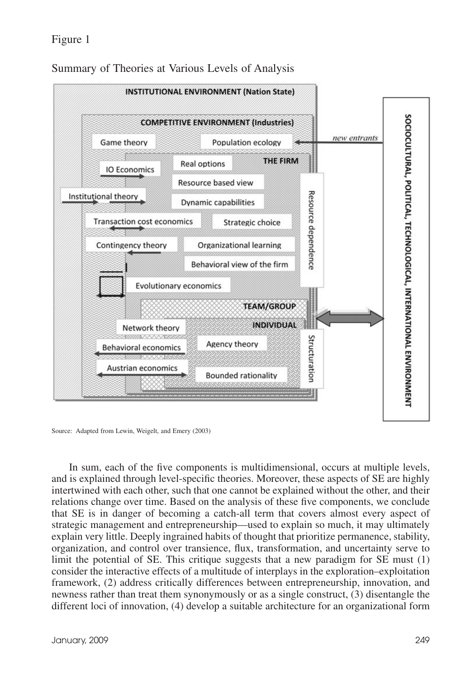## Figure 1



Summary of Theories at Various Levels of Analysis

Source: Adapted from Lewin, Weigelt, and Emery (2003)

In sum, each of the five components is multidimensional, occurs at multiple levels, and is explained through level-specific theories. Moreover, these aspects of SE are highly intertwined with each other, such that one cannot be explained without the other, and their relations change over time. Based on the analysis of these five components, we conclude that SE is in danger of becoming a catch-all term that covers almost every aspect of strategic management and entrepreneurship—used to explain so much, it may ultimately explain very little. Deeply ingrained habits of thought that prioritize permanence, stability, organization, and control over transience, flux, transformation, and uncertainty serve to limit the potential of SE. This critique suggests that a new paradigm for SE must (1) consider the interactive effects of a multitude of interplays in the exploration–exploitation framework, (2) address critically differences between entrepreneurship, innovation, and newness rather than treat them synonymously or as a single construct, (3) disentangle the different loci of innovation, (4) develop a suitable architecture for an organizational form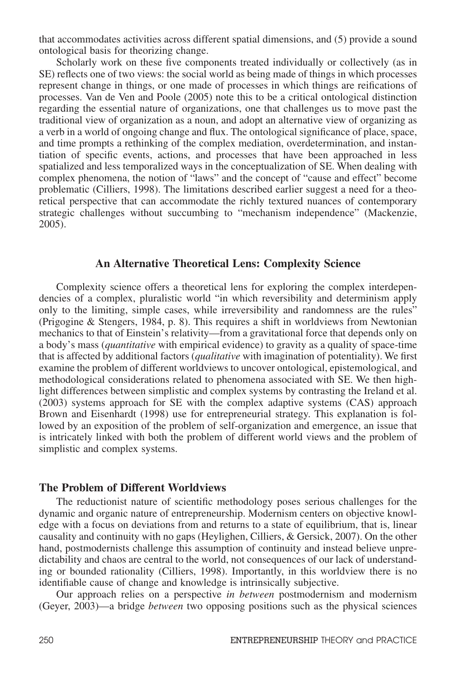that accommodates activities across different spatial dimensions, and (5) provide a sound ontological basis for theorizing change.

Scholarly work on these five components treated individually or collectively (as in SE) reflects one of two views: the social world as being made of things in which processes represent change in things, or one made of processes in which things are reifications of processes. Van de Ven and Poole (2005) note this to be a critical ontological distinction regarding the essential nature of organizations, one that challenges us to move past the traditional view of organization as a noun, and adopt an alternative view of organizing as a verb in a world of ongoing change and flux. The ontological significance of place, space, and time prompts a rethinking of the complex mediation, overdetermination, and instantiation of specific events, actions, and processes that have been approached in less spatialized and less temporalized ways in the conceptualization of SE. When dealing with complex phenomena, the notion of "laws" and the concept of "cause and effect" become problematic (Cilliers, 1998). The limitations described earlier suggest a need for a theoretical perspective that can accommodate the richly textured nuances of contemporary strategic challenges without succumbing to "mechanism independence" (Mackenzie, 2005).

#### **An Alternative Theoretical Lens: Complexity Science**

Complexity science offers a theoretical lens for exploring the complex interdependencies of a complex, pluralistic world "in which reversibility and determinism apply only to the limiting, simple cases, while irreversibility and randomness are the rules" (Prigogine & Stengers, 1984, p. 8). This requires a shift in worldviews from Newtonian mechanics to that of Einstein's relativity—from a gravitational force that depends only on a body's mass (*quantitative* with empirical evidence) to gravity as a quality of space-time that is affected by additional factors (*qualitative* with imagination of potentiality). We first examine the problem of different worldviews to uncover ontological, epistemological, and methodological considerations related to phenomena associated with SE. We then highlight differences between simplistic and complex systems by contrasting the Ireland et al. (2003) systems approach for SE with the complex adaptive systems (CAS) approach Brown and Eisenhardt (1998) use for entrepreneurial strategy. This explanation is followed by an exposition of the problem of self-organization and emergence, an issue that is intricately linked with both the problem of different world views and the problem of simplistic and complex systems.

#### **The Problem of Different Worldviews**

The reductionist nature of scientific methodology poses serious challenges for the dynamic and organic nature of entrepreneurship. Modernism centers on objective knowledge with a focus on deviations from and returns to a state of equilibrium, that is, linear causality and continuity with no gaps (Heylighen, Cilliers, & Gersick, 2007). On the other hand, postmodernists challenge this assumption of continuity and instead believe unpredictability and chaos are central to the world, not consequences of our lack of understanding or bounded rationality (Cilliers, 1998). Importantly, in this worldview there is no identifiable cause of change and knowledge is intrinsically subjective.

Our approach relies on a perspective *in between* postmodernism and modernism (Geyer, 2003)—a bridge *between* two opposing positions such as the physical sciences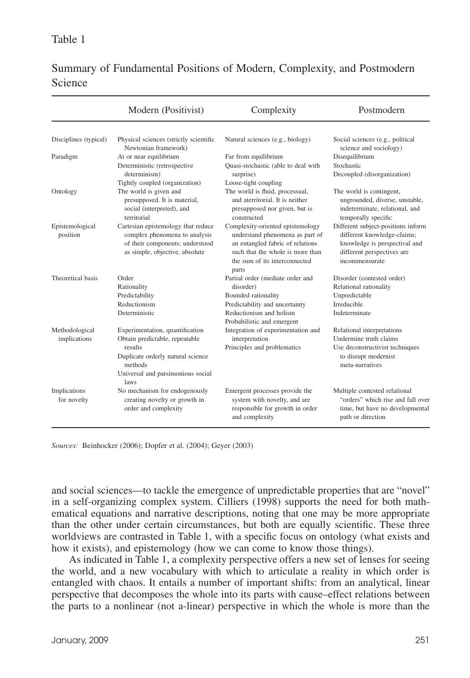# Summary of Fundamental Positions of Modern, Complexity, and Postmodern Science

|                                | Modern (Positivist)                                                                                                                                                       | Complexity                                                                                                                                                                            | Postmodern                                                                                                                                         |
|--------------------------------|---------------------------------------------------------------------------------------------------------------------------------------------------------------------------|---------------------------------------------------------------------------------------------------------------------------------------------------------------------------------------|----------------------------------------------------------------------------------------------------------------------------------------------------|
| Disciplines (typical)          | Physical sciences (strictly scientific<br>Newtonian framework)                                                                                                            | Natural sciences (e.g., biology)                                                                                                                                                      | Social sciences (e.g., political<br>science and sociology)                                                                                         |
| Paradigm                       | At or near equilibrium<br>Deterministic (retrospective<br>determinism)                                                                                                    | Far from equilibrium<br>Quasi-stochastic (able to deal with<br>surprise)                                                                                                              | Disequilibrium<br>Stochastic<br>Decoupled (disorganization)                                                                                        |
| Ontology                       | Tightly coupled (organization)<br>The world is given and<br>presupposed. It is material,<br>social (interpreted), and<br>territorial                                      | Loose-tight coupling<br>The world is fluid, processual,<br>and aterritorial. It is neither<br>presupposed nor given, but is<br>constructed                                            | The world is contingent,<br>ungrounded, diverse, unstable,<br>indeterminate, relational, and<br>temporally specific                                |
| Epistemological<br>position    | Cartesian epistemology that reduce<br>complex phenomena to analysis<br>of their components; understood<br>as simple, objective, absolute                                  | Complexity-oriented epistemology<br>understand phenomena as part of<br>an entangled fabric of relations<br>such that the whole is more than<br>the sum of its interconnected<br>parts | Different subject-positions inform<br>different knowledge-claims;<br>knowledge is perspectival and<br>different perspectives are<br>incommensurate |
| Theoretical basis              | Order<br>Rationality<br>Predictability<br>Reductionism<br>Deterministic                                                                                                   | Partial order (mediate order and<br>disorder)<br>Bounded rationality<br>Predictability and uncertainty<br>Reductionism and holism<br>Probabilistic and emergent                       | Disorder (contested order)<br>Relational rationality<br>Unpredictable<br>Irreducible<br>Indeterminate                                              |
| Methodological<br>implications | Experimentation, quantification<br>Obtain predictable, repeatable<br>results<br>Duplicate orderly natural science<br>methods<br>Universal and parsimonious social<br>laws | Integration of experimentation and<br>interpretation<br>Principles and problematics                                                                                                   | Relational interpretations<br>Undermine truth claims<br>Use deconstructivist techniques<br>to disrupt modernist<br>meta-narratives                 |
| Implications<br>for novelty    | No mechanism for endogenously<br>creating novelty or growth in<br>order and complexity                                                                                    | Emergent processes provide the<br>system with novelty, and are<br>responsible for growth in order<br>and complexity                                                                   | Multiple contested relational<br>"orders" which rise and fall over<br>time, but have no developmental<br>path or direction                         |

*Sources:* Beinhocker (2006); Dopfer et al. (2004); Geyer (2003)

and social sciences—to tackle the emergence of unpredictable properties that are "novel" in a self-organizing complex system. Cilliers (1998) supports the need for both mathematical equations and narrative descriptions, noting that one may be more appropriate than the other under certain circumstances, but both are equally scientific. These three worldviews are contrasted in Table 1, with a specific focus on ontology (what exists and how it exists), and epistemology (how we can come to know those things).

As indicated in Table 1, a complexity perspective offers a new set of lenses for seeing the world, and a new vocabulary with which to articulate a reality in which order is entangled with chaos. It entails a number of important shifts: from an analytical, linear perspective that decomposes the whole into its parts with cause–effect relations between the parts to a nonlinear (not a-linear) perspective in which the whole is more than the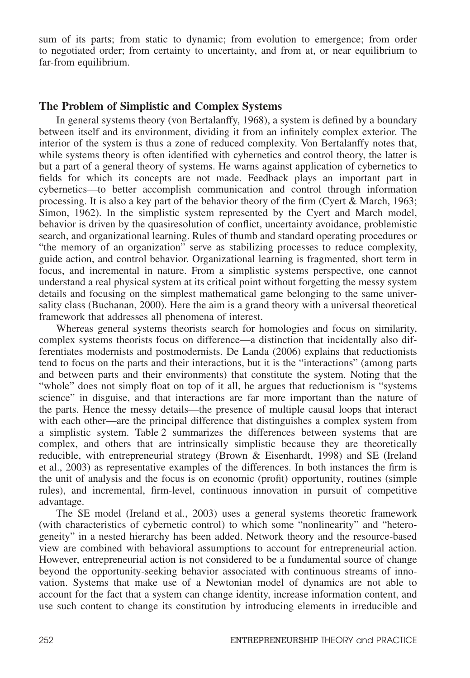sum of its parts; from static to dynamic; from evolution to emergence; from order to negotiated order; from certainty to uncertainty, and from at, or near equilibrium to far-from equilibrium.

#### **The Problem of Simplistic and Complex Systems**

In general systems theory (von Bertalanffy, 1968), a system is defined by a boundary between itself and its environment, dividing it from an infinitely complex exterior. The interior of the system is thus a zone of reduced complexity. Von Bertalanffy notes that, while systems theory is often identified with cybernetics and control theory, the latter is but a part of a general theory of systems. He warns against application of cybernetics to fields for which its concepts are not made. Feedback plays an important part in cybernetics—to better accomplish communication and control through information processing. It is also a key part of the behavior theory of the firm (Cyert & March, 1963; Simon, 1962). In the simplistic system represented by the Cyert and March model, behavior is driven by the quasiresolution of conflict, uncertainty avoidance, problemistic search, and organizational learning. Rules of thumb and standard operating procedures or "the memory of an organization" serve as stabilizing processes to reduce complexity, guide action, and control behavior. Organizational learning is fragmented, short term in focus, and incremental in nature. From a simplistic systems perspective, one cannot understand a real physical system at its critical point without forgetting the messy system details and focusing on the simplest mathematical game belonging to the same universality class (Buchanan, 2000). Here the aim is a grand theory with a universal theoretical framework that addresses all phenomena of interest.

Whereas general systems theorists search for homologies and focus on similarity, complex systems theorists focus on difference—a distinction that incidentally also differentiates modernists and postmodernists. De Landa (2006) explains that reductionists tend to focus on the parts and their interactions, but it is the "interactions" (among parts and between parts and their environments) that constitute the system. Noting that the "whole" does not simply float on top of it all, he argues that reductionism is "systems science" in disguise, and that interactions are far more important than the nature of the parts. Hence the messy details—the presence of multiple causal loops that interact with each other—are the principal difference that distinguishes a complex system from a simplistic system. Table 2 summarizes the differences between systems that are complex, and others that are intrinsically simplistic because they are theoretically reducible, with entrepreneurial strategy (Brown & Eisenhardt, 1998) and SE (Ireland et al., 2003) as representative examples of the differences. In both instances the firm is the unit of analysis and the focus is on economic (profit) opportunity, routines (simple rules), and incremental, firm-level, continuous innovation in pursuit of competitive advantage.

The SE model (Ireland et al., 2003) uses a general systems theoretic framework (with characteristics of cybernetic control) to which some "nonlinearity" and "heterogeneity" in a nested hierarchy has been added. Network theory and the resource-based view are combined with behavioral assumptions to account for entrepreneurial action. However, entrepreneurial action is not considered to be a fundamental source of change beyond the opportunity-seeking behavior associated with continuous streams of innovation. Systems that make use of a Newtonian model of dynamics are not able to account for the fact that a system can change identity, increase information content, and use such content to change its constitution by introducing elements in irreducible and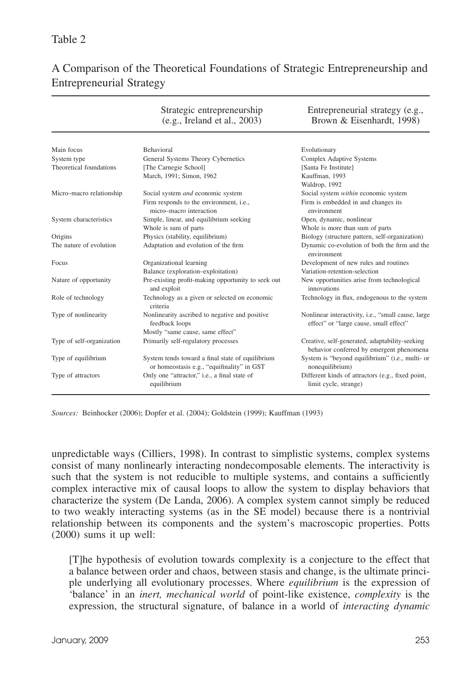## Table 2

# A Comparison of the Theoretical Foundations of Strategic Entrepreneurship and Entrepreneurial Strategy

|                           | Strategic entrepreneurship<br>(e.g., Ireland et al., 2003)                                     | Entrepreneurial strategy (e.g.,<br>Brown & Eisenhardt, 1998)                                 |
|---------------------------|------------------------------------------------------------------------------------------------|----------------------------------------------------------------------------------------------|
| Main focus                | <b>Behavioral</b>                                                                              | Evolutionary                                                                                 |
| System type               | General Systems Theory Cybernetics                                                             | <b>Complex Adaptive Systems</b>                                                              |
| Theoretical foundations   | [The Carnegie School]                                                                          | [Santa Fe Institute]                                                                         |
|                           | March, 1991; Simon, 1962                                                                       | Kauffman, 1993                                                                               |
|                           |                                                                                                | Waldrop, 1992                                                                                |
| Micro-macro relationship  | Social system and economic system                                                              | Social system within economic system                                                         |
|                           | Firm responds to the environment, i.e.,<br>micro-macro interaction                             | Firm is embedded in and changes its<br>environment                                           |
| System characteristics    | Simple, linear, and equilibrium seeking                                                        | Open, dynamic, nonlinear                                                                     |
|                           | Whole is sum of parts                                                                          | Whole is more than sum of parts                                                              |
| Origins                   | Physics (stability, equilibrium)                                                               | Biology (structure pattern, self-organization)                                               |
| The nature of evolution   | Adaptation and evolution of the firm                                                           | Dynamic co-evolution of both the firm and the<br>environment                                 |
| Focus                     | Organizational learning                                                                        | Development of new rules and routines                                                        |
|                           | Balance (exploration-exploitation)                                                             | Variation-retention-selection                                                                |
| Nature of opportunity     | Pre-existing profit-making opportunity to seek out<br>and exploit                              | New opportunities arise from technological<br>innovations                                    |
| Role of technology        | Technology as a given or selected on economic<br>criteria                                      | Technology in flux, endogenous to the system                                                 |
| Type of nonlinearity      | Nonlinearity ascribed to negative and positive<br>feedback loops                               | Nonlinear interactivity, i.e., "small cause, large<br>effect" or "large cause, small effect" |
|                           | Mostly "same cause, same effect"                                                               |                                                                                              |
| Type of self-organization | Primarily self-regulatory processes                                                            | Creative, self-generated, adaptability-seeking<br>behavior conferred by emergent phenomena   |
| Type of equilibrium       | System tends toward a final state of equilibrium<br>or homeostasis e.g., "equifinality" in GST | System is "beyond equilibrium" (i.e., multi- or<br>nonequilibrium)                           |
| Type of attractors        | Only one "attractor," i.e., a final state of<br>equilibrium                                    | Different kinds of attractors (e.g., fixed point,<br>limit cycle, strange)                   |

*Sources:* Beinhocker (2006); Dopfer et al. (2004); Goldstein (1999); Kauffman (1993)

unpredictable ways (Cilliers, 1998). In contrast to simplistic systems, complex systems consist of many nonlinearly interacting nondecomposable elements. The interactivity is such that the system is not reducible to multiple systems, and contains a sufficiently complex interactive mix of causal loops to allow the system to display behaviors that characterize the system (De Landa, 2006). A complex system cannot simply be reduced to two weakly interacting systems (as in the SE model) because there is a nontrivial relationship between its components and the system's macroscopic properties. Potts (2000) sums it up well:

[T]he hypothesis of evolution towards complexity is a conjecture to the effect that a balance between order and chaos, between stasis and change, is the ultimate principle underlying all evolutionary processes. Where *equilibrium* is the expression of 'balance' in an *inert, mechanical world* of point-like existence, *complexity* is the expression, the structural signature, of balance in a world of *interacting dynamic*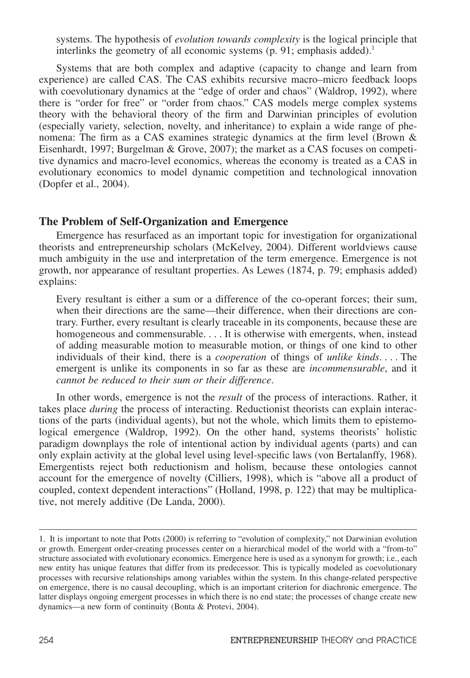systems. The hypothesis of *evolution towards complexity* is the logical principle that interlinks the geometry of all economic systems  $(p, 91;$  emphasis added).<sup>1</sup>

Systems that are both complex and adaptive (capacity to change and learn from experience) are called CAS. The CAS exhibits recursive macro–micro feedback loops with coevolutionary dynamics at the "edge of order and chaos" (Waldrop, 1992), where there is "order for free" or "order from chaos." CAS models merge complex systems theory with the behavioral theory of the firm and Darwinian principles of evolution (especially variety, selection, novelty, and inheritance) to explain a wide range of phenomena: The firm as a CAS examines strategic dynamics at the firm level (Brown & Eisenhardt, 1997; Burgelman & Grove, 2007); the market as a CAS focuses on competitive dynamics and macro-level economics, whereas the economy is treated as a CAS in evolutionary economics to model dynamic competition and technological innovation (Dopfer et al., 2004).

#### **The Problem of Self-Organization and Emergence**

Emergence has resurfaced as an important topic for investigation for organizational theorists and entrepreneurship scholars (McKelvey, 2004). Different worldviews cause much ambiguity in the use and interpretation of the term emergence. Emergence is not growth, nor appearance of resultant properties. As Lewes (1874, p. 79; emphasis added) explains:

Every resultant is either a sum or a difference of the co-operant forces; their sum, when their directions are the same—their difference, when their directions are contrary. Further, every resultant is clearly traceable in its components, because these are homogeneous and commensurable. . . . It is otherwise with emergents, when, instead of adding measurable motion to measurable motion, or things of one kind to other individuals of their kind, there is a *cooperation* of things of *unlike kinds*. . . . The emergent is unlike its components in so far as these are *incommensurable*, and it *cannot be reduced to their sum or their difference*.

In other words, emergence is not the *result* of the process of interactions. Rather, it takes place *during* the process of interacting. Reductionist theorists can explain interactions of the parts (individual agents), but not the whole, which limits them to epistemological emergence (Waldrop, 1992). On the other hand, systems theorists' holistic paradigm downplays the role of intentional action by individual agents (parts) and can only explain activity at the global level using level-specific laws (von Bertalanffy, 1968). Emergentists reject both reductionism and holism, because these ontologies cannot account for the emergence of novelty (Cilliers, 1998), which is "above all a product of coupled, context dependent interactions" (Holland, 1998, p. 122) that may be multiplicative, not merely additive (De Landa, 2000).

<sup>1.</sup> It is important to note that Potts (2000) is referring to "evolution of complexity," not Darwinian evolution or growth. Emergent order-creating processes center on a hierarchical model of the world with a "from-to" structure associated with evolutionary economics. Emergence here is used as a synonym for growth; i.e., each new entity has unique features that differ from its predecessor. This is typically modeled as coevolutionary processes with recursive relationships among variables within the system. In this change-related perspective on emergence, there is no causal decoupling, which is an important criterion for diachronic emergence. The latter displays ongoing emergent processes in which there is no end state; the processes of change create new dynamics—a new form of continuity (Bonta & Protevi, 2004).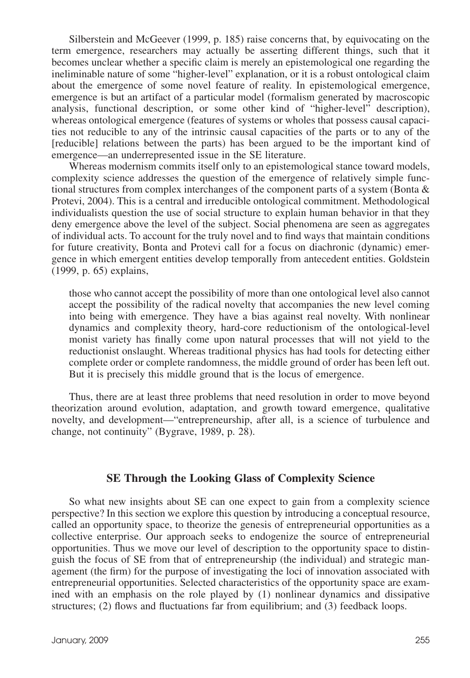Silberstein and McGeever (1999, p. 185) raise concerns that, by equivocating on the term emergence, researchers may actually be asserting different things, such that it becomes unclear whether a specific claim is merely an epistemological one regarding the ineliminable nature of some "higher-level" explanation, or it is a robust ontological claim about the emergence of some novel feature of reality. In epistemological emergence, emergence is but an artifact of a particular model (formalism generated by macroscopic analysis, functional description, or some other kind of "higher-level" description), whereas ontological emergence (features of systems or wholes that possess causal capacities not reducible to any of the intrinsic causal capacities of the parts or to any of the [reducible] relations between the parts) has been argued to be the important kind of emergence—an underrepresented issue in the SE literature.

Whereas modernism commits itself only to an epistemological stance toward models, complexity science addresses the question of the emergence of relatively simple functional structures from complex interchanges of the component parts of a system (Bonta  $\&$ Protevi, 2004). This is a central and irreducible ontological commitment. Methodological individualists question the use of social structure to explain human behavior in that they deny emergence above the level of the subject. Social phenomena are seen as aggregates of individual acts. To account for the truly novel and to find ways that maintain conditions for future creativity, Bonta and Protevi call for a focus on diachronic (dynamic) emergence in which emergent entities develop temporally from antecedent entities. Goldstein (1999, p. 65) explains,

those who cannot accept the possibility of more than one ontological level also cannot accept the possibility of the radical novelty that accompanies the new level coming into being with emergence. They have a bias against real novelty. With nonlinear dynamics and complexity theory, hard-core reductionism of the ontological-level monist variety has finally come upon natural processes that will not yield to the reductionist onslaught. Whereas traditional physics has had tools for detecting either complete order or complete randomness, the middle ground of order has been left out. But it is precisely this middle ground that is the locus of emergence.

Thus, there are at least three problems that need resolution in order to move beyond theorization around evolution, adaptation, and growth toward emergence, qualitative novelty, and development—"entrepreneurship, after all, is a science of turbulence and change, not continuity" (Bygrave, 1989, p. 28).

#### **SE Through the Looking Glass of Complexity Science**

So what new insights about SE can one expect to gain from a complexity science perspective? In this section we explore this question by introducing a conceptual resource, called an opportunity space, to theorize the genesis of entrepreneurial opportunities as a collective enterprise. Our approach seeks to endogenize the source of entrepreneurial opportunities. Thus we move our level of description to the opportunity space to distinguish the focus of SE from that of entrepreneurship (the individual) and strategic management (the firm) for the purpose of investigating the loci of innovation associated with entrepreneurial opportunities. Selected characteristics of the opportunity space are examined with an emphasis on the role played by (1) nonlinear dynamics and dissipative structures; (2) flows and fluctuations far from equilibrium; and (3) feedback loops.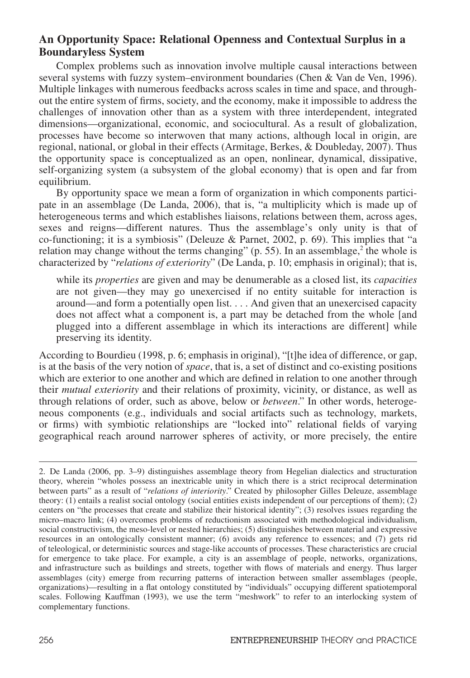## **An Opportunity Space: Relational Openness and Contextual Surplus in a Boundaryless System**

Complex problems such as innovation involve multiple causal interactions between several systems with fuzzy system–environment boundaries (Chen & Van de Ven, 1996). Multiple linkages with numerous feedbacks across scales in time and space, and throughout the entire system of firms, society, and the economy, make it impossible to address the challenges of innovation other than as a system with three interdependent, integrated dimensions—organizational, economic, and sociocultural. As a result of globalization, processes have become so interwoven that many actions, although local in origin, are regional, national, or global in their effects (Armitage, Berkes, & Doubleday, 2007). Thus the opportunity space is conceptualized as an open, nonlinear, dynamical, dissipative, self-organizing system (a subsystem of the global economy) that is open and far from equilibrium.

By opportunity space we mean a form of organization in which components participate in an assemblage (De Landa, 2006), that is, "a multiplicity which is made up of heterogeneous terms and which establishes liaisons, relations between them, across ages, sexes and reigns—different natures. Thus the assemblage's only unity is that of co-functioning; it is a symbiosis" (Deleuze & Parnet, 2002, p. 69). This implies that "a relation may change without the terms changing" (p. 55). In an assemblage,  $2^2$  the whole is characterized by "*relations of exteriority*" (De Landa, p. 10; emphasis in original); that is,

while its *properties* are given and may be denumerable as a closed list, its *capacities* are not given—they may go unexercised if no entity suitable for interaction is around—and form a potentially open list. . . . And given that an unexercised capacity does not affect what a component is, a part may be detached from the whole [and plugged into a different assemblage in which its interactions are different] while preserving its identity.

According to Bourdieu (1998, p. 6; emphasis in original), "[t]he idea of difference, or gap, is at the basis of the very notion of *space*, that is, a set of distinct and co-existing positions which are exterior to one another and which are defined in relation to one another through their *mutual exteriority* and their relations of proximity, vicinity, or distance, as well as through relations of order, such as above, below or *between*." In other words, heterogeneous components (e.g., individuals and social artifacts such as technology, markets, or firms) with symbiotic relationships are "locked into" relational fields of varying geographical reach around narrower spheres of activity, or more precisely, the entire

2. De Landa (2006, pp. 3–9) distinguishes assemblage theory from Hegelian dialectics and structuration theory, wherein "wholes possess an inextricable unity in which there is a strict reciprocal determination between parts" as a result of "*relations of interiority*." Created by philosopher Gilles Deleuze, assemblage theory: (1) entails a realist social ontology (social entities exists independent of our perceptions of them); (2) centers on "the processes that create and stabilize their historical identity"; (3) resolves issues regarding the micro–macro link; (4) overcomes problems of reductionism associated with methodological individualism, social constructivism, the meso-level or nested hierarchies; (5) distinguishes between material and expressive resources in an ontologically consistent manner; (6) avoids any reference to essences; and (7) gets rid of teleological, or deterministic sources and stage-like accounts of processes. These characteristics are crucial for emergence to take place. For example, a city is an assemblage of people, networks, organizations, and infrastructure such as buildings and streets, together with flows of materials and energy. Thus larger assemblages (city) emerge from recurring patterns of interaction between smaller assemblages (people, organizations)—resulting in a flat ontology constituted by "individuals" occupying different spatiotemporal scales. Following Kauffman (1993), we use the term "meshwork" to refer to an interlocking system of complementary functions.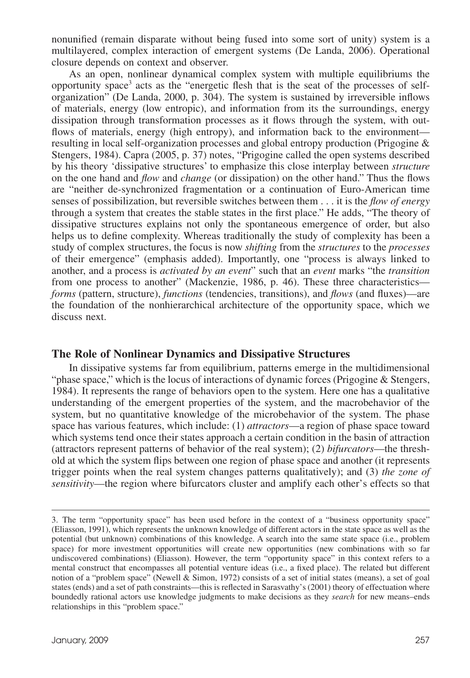nonunified (remain disparate without being fused into some sort of unity) system is a multilayered, complex interaction of emergent systems (De Landa, 2006). Operational closure depends on context and observer.

As an open, nonlinear dynamical complex system with multiple equilibriums the opportunity space3 acts as the "energetic flesh that is the seat of the processes of selforganization" (De Landa, 2000, p. 304). The system is sustained by irreversible inflows of materials, energy (low entropic), and information from its the surroundings, energy dissipation through transformation processes as it flows through the system, with outflows of materials, energy (high entropy), and information back to the environment resulting in local self-organization processes and global entropy production (Prigogine & Stengers, 1984). Capra (2005, p. 37) notes, "Prigogine called the open systems described by his theory 'dissipative structures' to emphasize this close interplay between *structure* on the one hand and *flow* and *change* (or dissipation) on the other hand." Thus the flows are "neither de-synchronized fragmentation or a continuation of Euro-American time senses of possibilization, but reversible switches between them . . . it is the *flow of energy* through a system that creates the stable states in the first place." He adds, "The theory of dissipative structures explains not only the spontaneous emergence of order, but also helps us to define complexity. Whereas traditionally the study of complexity has been a study of complex structures, the focus is now *shifting* from the *structures* to the *processes* of their emergence" (emphasis added). Importantly, one "process is always linked to another, and a process is *activated by an event*" such that an *event* marks "the *transition* from one process to another" (Mackenzie, 1986, p. 46). These three characteristics *forms* (pattern, structure), *functions* (tendencies, transitions), and *flows* (and fluxes)—are the foundation of the nonhierarchical architecture of the opportunity space, which we discuss next.

#### **The Role of Nonlinear Dynamics and Dissipative Structures**

In dissipative systems far from equilibrium, patterns emerge in the multidimensional "phase space," which is the locus of interactions of dynamic forces (Prigogine & Stengers, 1984). It represents the range of behaviors open to the system. Here one has a qualitative understanding of the emergent properties of the system, and the macrobehavior of the system, but no quantitative knowledge of the microbehavior of the system. The phase space has various features, which include: (1) *attractors*—a region of phase space toward which systems tend once their states approach a certain condition in the basin of attraction (attractors represent patterns of behavior of the real system); (2) *bifurcators*—the threshold at which the system flips between one region of phase space and another (it represents trigger points when the real system changes patterns qualitatively); and (3) *the zone of sensitivity*—the region where bifurcators cluster and amplify each other's effects so that

<sup>3.</sup> The term "opportunity space" has been used before in the context of a "business opportunity space" (Eliasson, 1991), which represents the unknown knowledge of different actors in the state space as well as the potential (but unknown) combinations of this knowledge. A search into the same state space (i.e., problem space) for more investment opportunities will create new opportunities (new combinations with so far undiscovered combinations) (Eliasson). However, the term "opportunity space" in this context refers to a mental construct that encompasses all potential venture ideas (i.e., a fixed place). The related but different notion of a "problem space" (Newell & Simon, 1972) consists of a set of initial states (means), a set of goal states (ends) and a set of path constraints—this is reflected in Sarasvathy's (2001) theory of effectuation where boundedly rational actors use knowledge judgments to make decisions as they *search* for new means–ends relationships in this "problem space."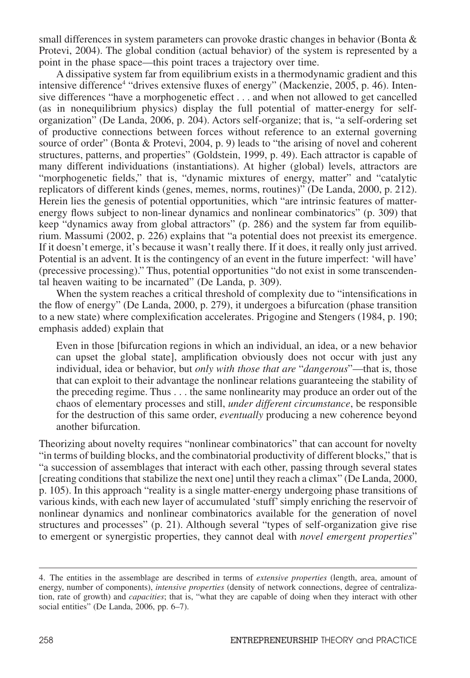small differences in system parameters can provoke drastic changes in behavior (Bonta & Protevi, 2004). The global condition (actual behavior) of the system is represented by a point in the phase space—this point traces a trajectory over time.

A dissipative system far from equilibrium exists in a thermodynamic gradient and this intensive difference<sup>4</sup> "drives extensive fluxes of energy" (Mackenzie, 2005, p. 46). Intensive differences "have a morphogenetic effect . . . and when not allowed to get cancelled (as in nonequilibrium physics) display the full potential of matter-energy for selforganization" (De Landa, 2006, p. 204). Actors self-organize; that is, "a self-ordering set of productive connections between forces without reference to an external governing source of order" (Bonta & Protevi, 2004, p. 9) leads to "the arising of novel and coherent structures, patterns, and properties" (Goldstein, 1999, p. 49). Each attractor is capable of many different individuations (instantiations). At higher (global) levels, attractors are "morphogenetic fields," that is, "dynamic mixtures of energy, matter" and "catalytic replicators of different kinds (genes, memes, norms, routines)" (De Landa, 2000, p. 212). Herein lies the genesis of potential opportunities, which "are intrinsic features of matterenergy flows subject to non-linear dynamics and nonlinear combinatorics" (p. 309) that keep "dynamics away from global attractors" (p. 286) and the system far from equilibrium. Massumi (2002, p. 226) explains that "a potential does not preexist its emergence. If it doesn't emerge, it's because it wasn't really there. If it does, it really only just arrived. Potential is an advent. It is the contingency of an event in the future imperfect: 'will have' (precessive processing)." Thus, potential opportunities "do not exist in some transcendental heaven waiting to be incarnated" (De Landa, p. 309).

When the system reaches a critical threshold of complexity due to "intensifications in the flow of energy" (De Landa, 2000, p. 279), it undergoes a bifurcation (phase transition to a new state) where complexification accelerates. Prigogine and Stengers (1984, p. 190; emphasis added) explain that

Even in those [bifurcation regions in which an individual, an idea, or a new behavior can upset the global state], amplification obviously does not occur with just any individual, idea or behavior, but *only with those that are* "*dangerous*"—that is, those that can exploit to their advantage the nonlinear relations guaranteeing the stability of the preceding regime. Thus . . . the same nonlinearity may produce an order out of the chaos of elementary processes and still, *under different circumstance*, be responsible for the destruction of this same order, *eventually* producing a new coherence beyond another bifurcation.

Theorizing about novelty requires "nonlinear combinatorics" that can account for novelty "in terms of building blocks, and the combinatorial productivity of different blocks," that is "a succession of assemblages that interact with each other, passing through several states [creating conditions that stabilize the next one] until they reach a climax" (De Landa, 2000, p. 105). In this approach "reality is a single matter-energy undergoing phase transitions of various kinds, with each new layer of accumulated 'stuff' simply enriching the reservoir of nonlinear dynamics and nonlinear combinatorics available for the generation of novel structures and processes" (p. 21). Although several "types of self-organization give rise to emergent or synergistic properties, they cannot deal with *novel emergent properties*"

<sup>4.</sup> The entities in the assemblage are described in terms of *extensive properties* (length, area, amount of energy, number of components), *intensive properties* (density of network connections, degree of centralization, rate of growth) and *capacities*; that is, "what they are capable of doing when they interact with other social entities" (De Landa, 2006, pp. 6–7).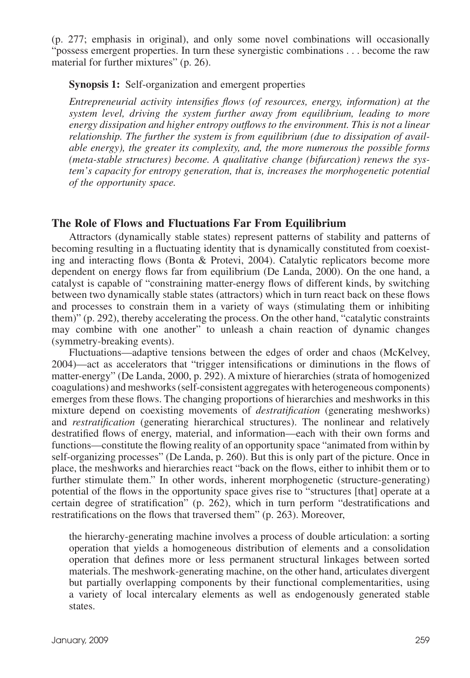(p. 277; emphasis in original), and only some novel combinations will occasionally "possess emergent properties. In turn these synergistic combinations... become the raw material for further mixtures" (p. 26).

**Synopsis 1:** Self-organization and emergent properties

*Entrepreneurial activity intensifies flows (of resources, energy, information) at the system level, driving the system further away from equilibrium, leading to more energy dissipation and higher entropy outflows to the environment. This is not a linear relationship. The further the system is from equilibrium (due to dissipation of available energy), the greater its complexity, and, the more numerous the possible forms (meta-stable structures) become. A qualitative change (bifurcation) renews the system's capacity for entropy generation, that is, increases the morphogenetic potential of the opportunity space.*

#### **The Role of Flows and Fluctuations Far From Equilibrium**

Attractors (dynamically stable states) represent patterns of stability and patterns of becoming resulting in a fluctuating identity that is dynamically constituted from coexisting and interacting flows (Bonta & Protevi, 2004). Catalytic replicators become more dependent on energy flows far from equilibrium (De Landa, 2000). On the one hand, a catalyst is capable of "constraining matter-energy flows of different kinds, by switching between two dynamically stable states (attractors) which in turn react back on these flows and processes to constrain them in a variety of ways (stimulating them or inhibiting them)" (p. 292), thereby accelerating the process. On the other hand, "catalytic constraints may combine with one another" to unleash a chain reaction of dynamic changes (symmetry-breaking events).

Fluctuations—adaptive tensions between the edges of order and chaos (McKelvey, 2004)—act as accelerators that "trigger intensifications or diminutions in the flows of matter-energy" (De Landa, 2000, p. 292). A mixture of hierarchies (strata of homogenized coagulations) and meshworks (self-consistent aggregates with heterogeneous components) emerges from these flows. The changing proportions of hierarchies and meshworks in this mixture depend on coexisting movements of *destratification* (generating meshworks) and *restratification* (generating hierarchical structures). The nonlinear and relatively destratified flows of energy, material, and information—each with their own forms and functions—constitute the flowing reality of an opportunity space "animated from within by self-organizing processes" (De Landa, p. 260). But this is only part of the picture. Once in place, the meshworks and hierarchies react "back on the flows, either to inhibit them or to further stimulate them." In other words, inherent morphogenetic (structure-generating) potential of the flows in the opportunity space gives rise to "structures [that] operate at a certain degree of stratification" (p. 262), which in turn perform "destratifications and restratifications on the flows that traversed them" (p. 263). Moreover,

the hierarchy-generating machine involves a process of double articulation: a sorting operation that yields a homogeneous distribution of elements and a consolidation operation that defines more or less permanent structural linkages between sorted materials. The meshwork-generating machine, on the other hand, articulates divergent but partially overlapping components by their functional complementarities, using a variety of local intercalary elements as well as endogenously generated stable states.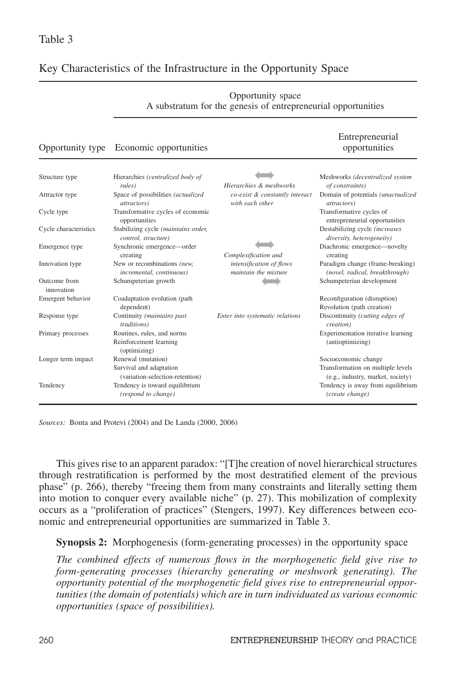# Key Characteristics of the Infrastructure in the Opportunity Space

Opportunity space A substratum for the genesis of entrepreneurial opportunities

#### Opportunity type Economic opportunities

#### Entrepreneurial opportunities

| Structure type             | Hierarchies (centralized body of<br>rules)                                       | Hierarchies & meshworks                           | Meshworks (decentralized system<br>of constraints)                                             |
|----------------------------|----------------------------------------------------------------------------------|---------------------------------------------------|------------------------------------------------------------------------------------------------|
| Attractor type             | Space of possibilities (actualized<br>attractors)                                | co-exist & constantly interact<br>with each other | Domain of potentials (unactualized<br><i>attractors</i> )                                      |
| Cycle type                 | Transformative cycles of economic<br>opportunities                               |                                                   | Transformative cycles of<br>entrepreneurial opportunities                                      |
| Cycle characteristics      | Stabilizing cycle (maintains order,<br>control, structure)                       |                                                   | Destabilizing cycle (increases<br>diversity, heterogeneity)                                    |
| Emergence type             | Synchronic emergence-order<br>creating                                           | Complexification and                              | Diachronic emergence-novelty<br>creating                                                       |
| Innovation type            | New or recombinations (new,<br>incremental, continuous)                          | intensification of flows<br>maintain the mixture  | Paradigm change (frame-breaking)<br>(novel, radical, breakthrough)                             |
| Outcome from<br>innovation | Schumpeterian growth                                                             |                                                   | Schumpeterian development                                                                      |
| Emergent behavior          | Coadaptation evolution (path)<br>dependent)                                      |                                                   | Reconfiguration (disruption)<br>Revolution (path creation)                                     |
| Response type              | Continuity (maintains past<br>traditions)                                        | Enter into systematic relations                   | Discontinuity (cutting edges of<br>creation)                                                   |
| Primary processes          | Routines, rules, and norms<br>Reinforcement learning<br>(optimizing)             |                                                   | Experimentation iterative learning<br>(antioptimizing)                                         |
| Longer term impact         | Renewal (mutation)<br>Survival and adaptation<br>(variation-selection-retention) |                                                   | Socioeconomic change<br>Transformation on multiple levels<br>(e.g., industry, market, society) |
| Tendency                   | Tendency is toward equilibrium<br>(respond to change)                            |                                                   | Tendency is away from equilibrium<br>(create change)                                           |

*Sources:* Bonta and Protevi (2004) and De Landa (2000, 2006)

This gives rise to an apparent paradox: "[T]he creation of novel hierarchical structures through restratification is performed by the most destratified element of the previous phase" (p. 266), thereby "freeing them from many constraints and literally setting them into motion to conquer every available niche" (p. 27). This mobilization of complexity occurs as a "proliferation of practices" (Stengers, 1997). Key differences between economic and entrepreneurial opportunities are summarized in Table 3.

**Synopsis 2:** Morphogenesis (form-generating processes) in the opportunity space

*The combined effects of numerous flows in the morphogenetic field give rise to form-generating processes (hierarchy generating or meshwork generating). The opportunity potential of the morphogenetic field gives rise to entrepreneurial opportunities (the domain of potentials) which are in turn individuated as various economic opportunities (space of possibilities).*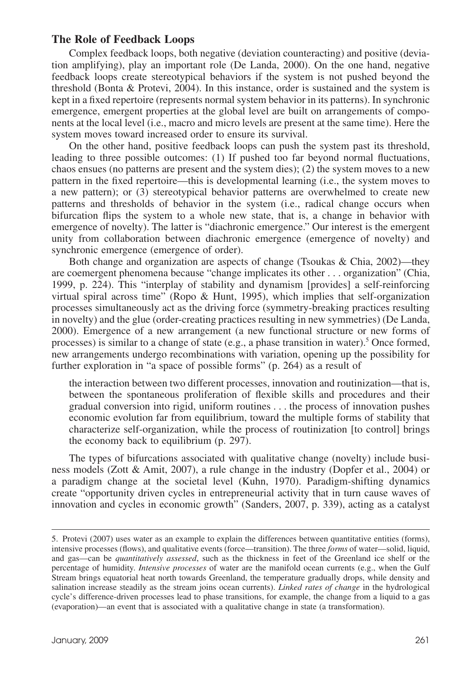#### **The Role of Feedback Loops**

Complex feedback loops, both negative (deviation counteracting) and positive (deviation amplifying), play an important role (De Landa, 2000). On the one hand, negative feedback loops create stereotypical behaviors if the system is not pushed beyond the threshold (Bonta & Protevi, 2004). In this instance, order is sustained and the system is kept in a fixed repertoire (represents normal system behavior in its patterns). In synchronic emergence, emergent properties at the global level are built on arrangements of components at the local level (i.e., macro and micro levels are present at the same time). Here the system moves toward increased order to ensure its survival.

On the other hand, positive feedback loops can push the system past its threshold, leading to three possible outcomes: (1) If pushed too far beyond normal fluctuations, chaos ensues (no patterns are present and the system dies); (2) the system moves to a new pattern in the fixed repertoire—this is developmental learning (i.e., the system moves to a new pattern); or (3) stereotypical behavior patterns are overwhelmed to create new patterns and thresholds of behavior in the system (i.e., radical change occurs when bifurcation flips the system to a whole new state, that is, a change in behavior with emergence of novelty). The latter is "diachronic emergence." Our interest is the emergent unity from collaboration between diachronic emergence (emergence of novelty) and synchronic emergence (emergence of order).

Both change and organization are aspects of change (Tsoukas & Chia, 2002)—they are coemergent phenomena because "change implicates its other . . . organization" (Chia, 1999, p. 224). This "interplay of stability and dynamism [provides] a self-reinforcing virtual spiral across time" (Ropo & Hunt, 1995), which implies that self-organization processes simultaneously act as the driving force (symmetry-breaking practices resulting in novelty) and the glue (order-creating practices resulting in new symmetries) (De Landa, 2000). Emergence of a new arrangement (a new functional structure or new forms of processes) is similar to a change of state (e.g., a phase transition in water).<sup>5</sup> Once formed, new arrangements undergo recombinations with variation, opening up the possibility for further exploration in "a space of possible forms" (p. 264) as a result of

the interaction between two different processes, innovation and routinization—that is, between the spontaneous proliferation of flexible skills and procedures and their gradual conversion into rigid, uniform routines . . . the process of innovation pushes economic evolution far from equilibrium, toward the multiple forms of stability that characterize self-organization, while the process of routinization [to control] brings the economy back to equilibrium (p. 297).

The types of bifurcations associated with qualitative change (novelty) include business models (Zott & Amit, 2007), a rule change in the industry (Dopfer et al., 2004) or a paradigm change at the societal level (Kuhn, 1970). Paradigm-shifting dynamics create "opportunity driven cycles in entrepreneurial activity that in turn cause waves of innovation and cycles in economic growth" (Sanders, 2007, p. 339), acting as a catalyst

<sup>5.</sup> Protevi (2007) uses water as an example to explain the differences between quantitative entities (forms), intensive processes (flows), and qualitative events (force—transition). The three *forms* of water—solid, liquid, and gas—can be *quantitatively assessed*, such as the thickness in feet of the Greenland ice shelf or the percentage of humidity. *Intensive processes* of water are the manifold ocean currents (e.g., when the Gulf Stream brings equatorial heat north towards Greenland, the temperature gradually drops, while density and salination increase steadily as the stream joins ocean currents). *Linked rates of change* in the hydrological cycle's difference-driven processes lead to phase transitions, for example, the change from a liquid to a gas (evaporation)—an event that is associated with a qualitative change in state (a transformation).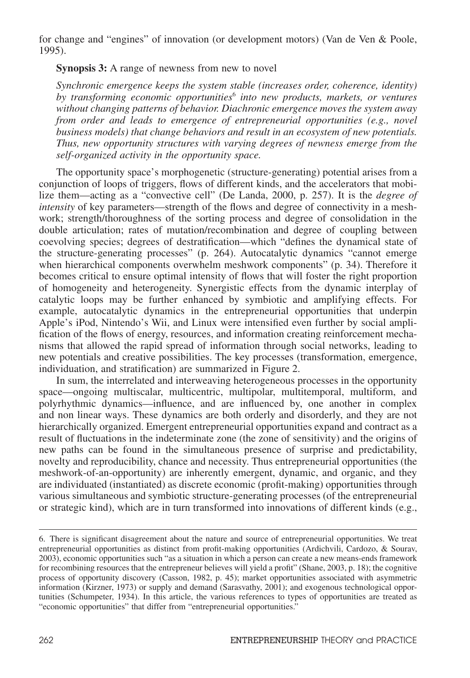for change and "engines" of innovation (or development motors) (Van de Ven & Poole, 1995).

#### **Synopsis 3:** A range of newness from new to novel

*Synchronic emergence keeps the system stable (increases order, coherence, identity) by transforming economic opportunities*<sup>6</sup> *into new products, markets, or ventures without changing patterns of behavior. Diachronic emergence moves the system away from order and leads to emergence of entrepreneurial opportunities (e.g., novel business models) that change behaviors and result in an ecosystem of new potentials. Thus, new opportunity structures with varying degrees of newness emerge from the self-organized activity in the opportunity space.*

The opportunity space's morphogenetic (structure-generating) potential arises from a conjunction of loops of triggers, flows of different kinds, and the accelerators that mobilize them—acting as a "convective cell" (De Landa, 2000, p. 257). It is the *degree of intensity* of key parameters—strength of the flows and degree of connectivity in a meshwork; strength/thoroughness of the sorting process and degree of consolidation in the double articulation; rates of mutation/recombination and degree of coupling between coevolving species; degrees of destratification—which "defines the dynamical state of the structure-generating processes" (p. 264). Autocatalytic dynamics "cannot emerge when hierarchical components overwhelm meshwork components" (p. 34). Therefore it becomes critical to ensure optimal intensity of flows that will foster the right proportion of homogeneity and heterogeneity. Synergistic effects from the dynamic interplay of catalytic loops may be further enhanced by symbiotic and amplifying effects. For example, autocatalytic dynamics in the entrepreneurial opportunities that underpin Apple's iPod, Nintendo's Wii, and Linux were intensified even further by social amplification of the flows of energy, resources, and information creating reinforcement mechanisms that allowed the rapid spread of information through social networks, leading to new potentials and creative possibilities. The key processes (transformation, emergence, individuation, and stratification) are summarized in Figure 2.

In sum, the interrelated and interweaving heterogeneous processes in the opportunity space—ongoing multiscalar, multicentric, multipolar, multitemporal, multiform, and polyrhythmic dynamics—influence, and are influenced by, one another in complex and non linear ways. These dynamics are both orderly and disorderly, and they are not hierarchically organized. Emergent entrepreneurial opportunities expand and contract as a result of fluctuations in the indeterminate zone (the zone of sensitivity) and the origins of new paths can be found in the simultaneous presence of surprise and predictability, novelty and reproducibility, chance and necessity. Thus entrepreneurial opportunities (the meshwork-of-an-opportunity) are inherently emergent, dynamic, and organic, and they are individuated (instantiated) as discrete economic (profit-making) opportunities through various simultaneous and symbiotic structure-generating processes (of the entrepreneurial or strategic kind), which are in turn transformed into innovations of different kinds (e.g.,

<sup>6.</sup> There is significant disagreement about the nature and source of entrepreneurial opportunities. We treat entrepreneurial opportunities as distinct from profit-making opportunities (Ardichvili, Cardozo, & Sourav, 2003), economic opportunities such "as a situation in which a person can create a new means-ends framework for recombining resources that the entrepreneur believes will yield a profit" (Shane, 2003, p. 18); the cognitive process of opportunity discovery (Casson, 1982, p. 45); market opportunities associated with asymmetric information (Kirzner, 1973) or supply and demand (Sarasvathy, 2001); and exogenous technological opportunities (Schumpeter, 1934). In this article, the various references to types of opportunities are treated as "economic opportunities" that differ from "entrepreneurial opportunities."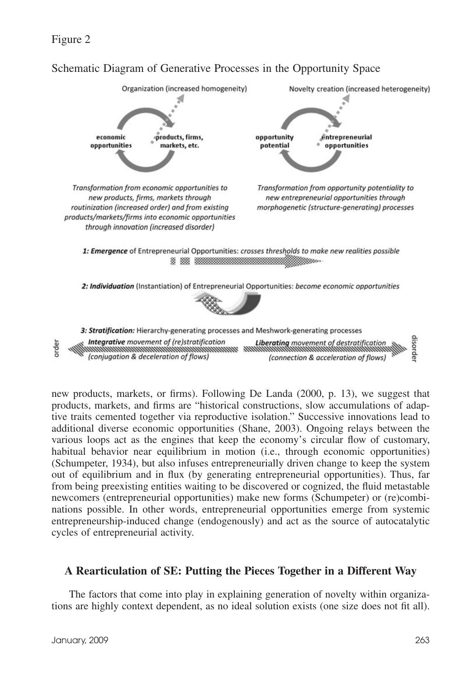Figure 2

economic

opportunities

(conjugation & deceleration of flows) (connection & acceleration of flows) new products, markets, or firms). Following De Landa (2000, p. 13), we suggest that products, markets, and firms are "historical constructions, slow accumulations of adaptive traits cemented together via reproductive isolation." Successive innovations lead to

# Organization (increased homogeneity)

«products, firms,

Schematic Diagram of Generative Processes in the Opportunity Space

Novelty creation (increased heterogeneity)

*<i><u><u>Entrepreneurial</u>*</u>

opportunities



opportunity

potential

additional diverse economic opportunities (Shane, 2003). Ongoing relays between the various loops act as the engines that keep the economy's circular flow of customary, habitual behavior near equilibrium in motion (i.e., through economic opportunities) (Schumpeter, 1934), but also infuses entrepreneurially driven change to keep the system out of equilibrium and in flux (by generating entrepreneurial opportunities). Thus, far from being preexisting entities waiting to be discovered or cognized, the fluid metastable newcomers (entrepreneurial opportunities) make new forms (Schumpeter) or (re)combinations possible. In other words, entrepreneurial opportunities emerge from systemic entrepreneurship-induced change (endogenously) and act as the source of autocatalytic cycles of entrepreneurial activity.

# **A Rearticulation of SE: Putting the Pieces Together in a Different Way**

The factors that come into play in explaining generation of novelty within organizations are highly context dependent, as no ideal solution exists (one size does not fit all).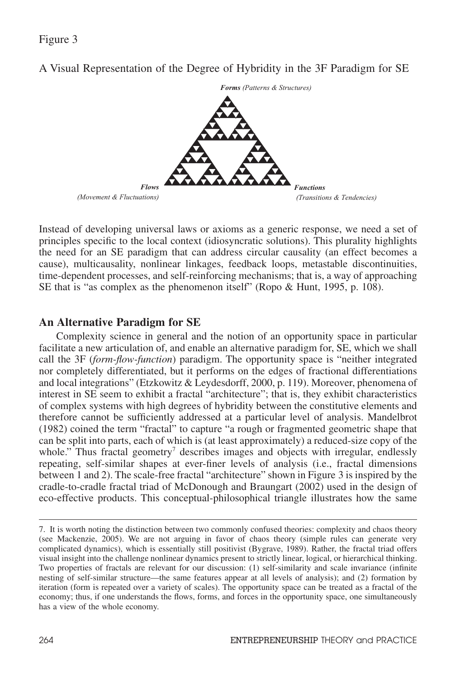# Figure 3

# A Visual Representation of the Degree of Hybridity in the 3F Paradigm for SE



Instead of developing universal laws or axioms as a generic response, we need a set of principles specific to the local context (idiosyncratic solutions). This plurality highlights the need for an SE paradigm that can address circular causality (an effect becomes a cause), multicausality, nonlinear linkages, feedback loops, metastable discontinuities, time-dependent processes, and self-reinforcing mechanisms; that is, a way of approaching SE that is "as complex as the phenomenon itself" (Ropo & Hunt, 1995, p. 108).

### **An Alternative Paradigm for SE**

Complexity science in general and the notion of an opportunity space in particular facilitate a new articulation of, and enable an alternative paradigm for, SE, which we shall call the 3F (*form-flow-function*) paradigm. The opportunity space is "neither integrated nor completely differentiated, but it performs on the edges of fractional differentiations and local integrations" (Etzkowitz & Leydesdorff, 2000, p. 119). Moreover, phenomena of interest in SE seem to exhibit a fractal "architecture"; that is, they exhibit characteristics of complex systems with high degrees of hybridity between the constitutive elements and therefore cannot be sufficiently addressed at a particular level of analysis. Mandelbrot (1982) coined the term "fractal" to capture "a rough or fragmented geometric shape that can be split into parts, each of which is (at least approximately) a reduced-size copy of the whole." Thus fractal geometry<sup>7</sup> describes images and objects with irregular, endlessly repeating, self-similar shapes at ever-finer levels of analysis (i.e., fractal dimensions between 1 and 2). The scale-free fractal "architecture" shown in Figure 3 is inspired by the cradle-to-cradle fractal triad of McDonough and Braungart (2002) used in the design of eco-effective products. This conceptual-philosophical triangle illustrates how the same

<sup>7.</sup> It is worth noting the distinction between two commonly confused theories: complexity and chaos theory (see Mackenzie, 2005). We are not arguing in favor of chaos theory (simple rules can generate very complicated dynamics), which is essentially still positivist (Bygrave, 1989). Rather, the fractal triad offers visual insight into the challenge nonlinear dynamics present to strictly linear, logical, or hierarchical thinking. Two properties of fractals are relevant for our discussion: (1) self-similarity and scale invariance (infinite nesting of self-similar structure—the same features appear at all levels of analysis); and (2) formation by iteration (form is repeated over a variety of scales). The opportunity space can be treated as a fractal of the economy; thus, if one understands the flows, forms, and forces in the opportunity space, one simultaneously has a view of the whole economy.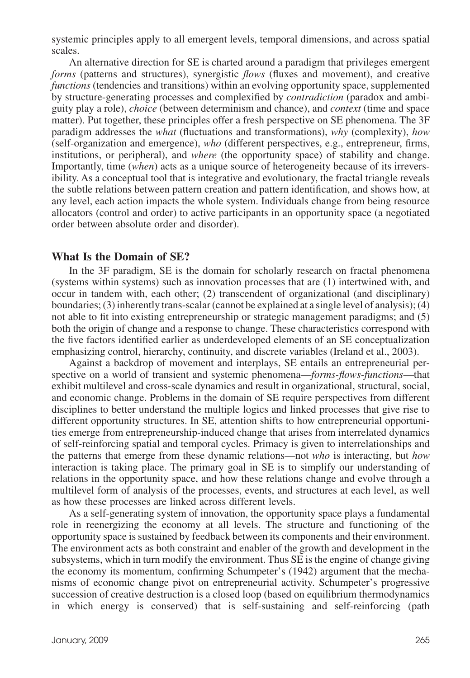systemic principles apply to all emergent levels, temporal dimensions, and across spatial scales.

An alternative direction for SE is charted around a paradigm that privileges emergent *forms* (patterns and structures), synergistic *flows* (fluxes and movement), and creative *functions* (tendencies and transitions) within an evolving opportunity space, supplemented by structure-generating processes and complexified by *contradiction* (paradox and ambiguity play a role), *choice* (between determinism and chance), and *context* (time and space matter). Put together, these principles offer a fresh perspective on SE phenomena. The 3F paradigm addresses the *what* (fluctuations and transformations), *why* (complexity), *how* (self-organization and emergence), *who* (different perspectives, e.g., entrepreneur, firms, institutions, or peripheral), and *where* (the opportunity space) of stability and change. Importantly, time (*when*) acts as a unique source of heterogeneity because of its irreversibility. As a conceptual tool that is integrative and evolutionary, the fractal triangle reveals the subtle relations between pattern creation and pattern identification, and shows how, at any level, each action impacts the whole system. Individuals change from being resource allocators (control and order) to active participants in an opportunity space (a negotiated order between absolute order and disorder).

#### **What Is the Domain of SE?**

In the 3F paradigm, SE is the domain for scholarly research on fractal phenomena (systems within systems) such as innovation processes that are (1) intertwined with, and occur in tandem with, each other; (2) transcendent of organizational (and disciplinary) boundaries; (3) inherently trans-scalar (cannot be explained at a single level of analysis); (4) not able to fit into existing entrepreneurship or strategic management paradigms; and (5) both the origin of change and a response to change. These characteristics correspond with the five factors identified earlier as underdeveloped elements of an SE conceptualization emphasizing control, hierarchy, continuity, and discrete variables (Ireland et al., 2003).

Against a backdrop of movement and interplays, SE entails an entrepreneurial perspective on a world of transient and systemic phenomena—*forms-flows-functions*—that exhibit multilevel and cross-scale dynamics and result in organizational, structural, social, and economic change. Problems in the domain of SE require perspectives from different disciplines to better understand the multiple logics and linked processes that give rise to different opportunity structures. In SE, attention shifts to how entrepreneurial opportunities emerge from entrepreneurship-induced change that arises from interrelated dynamics of self-reinforcing spatial and temporal cycles. Primacy is given to interrelationships and the patterns that emerge from these dynamic relations—not *who* is interacting, but *how* interaction is taking place. The primary goal in SE is to simplify our understanding of relations in the opportunity space, and how these relations change and evolve through a multilevel form of analysis of the processes, events, and structures at each level, as well as how these processes are linked across different levels.

As a self-generating system of innovation, the opportunity space plays a fundamental role in reenergizing the economy at all levels. The structure and functioning of the opportunity space is sustained by feedback between its components and their environment. The environment acts as both constraint and enabler of the growth and development in the subsystems, which in turn modify the environment. Thus SE is the engine of change giving the economy its momentum, confirming Schumpeter's (1942) argument that the mechanisms of economic change pivot on entrepreneurial activity. Schumpeter's progressive succession of creative destruction is a closed loop (based on equilibrium thermodynamics in which energy is conserved) that is self-sustaining and self-reinforcing (path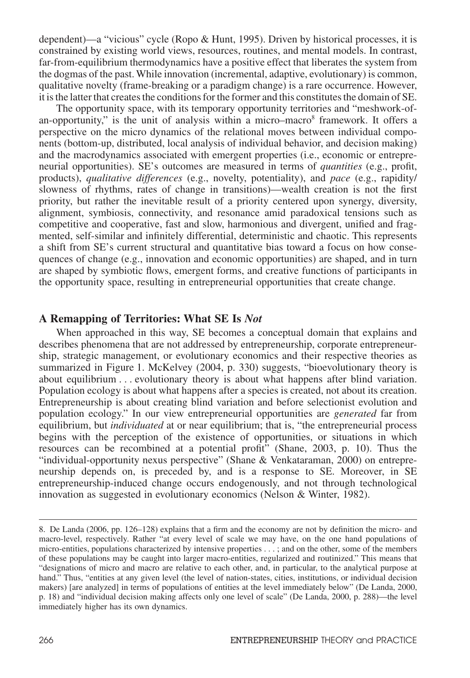dependent)—a "vicious" cycle (Ropo & Hunt, 1995). Driven by historical processes, it is constrained by existing world views, resources, routines, and mental models. In contrast, far-from-equilibrium thermodynamics have a positive effect that liberates the system from the dogmas of the past. While innovation (incremental, adaptive, evolutionary) is common, qualitative novelty (frame-breaking or a paradigm change) is a rare occurrence. However, it is the latter that creates the conditions for the former and this constitutes the domain of SE.

The opportunity space, with its temporary opportunity territories and "meshwork-ofan-opportunity," is the unit of analysis within a micro–macro $\delta$  framework. It offers a perspective on the micro dynamics of the relational moves between individual components (bottom-up, distributed, local analysis of individual behavior, and decision making) and the macrodynamics associated with emergent properties (i.e., economic or entrepreneurial opportunities). SE's outcomes are measured in terms of *quantities* (e.g., profit, products), *qualitative differences* (e.g., novelty, potentiality), and *pace* (e.g., rapidity/ slowness of rhythms, rates of change in transitions)—wealth creation is not the first priority, but rather the inevitable result of a priority centered upon synergy, diversity, alignment, symbiosis, connectivity, and resonance amid paradoxical tensions such as competitive and cooperative, fast and slow, harmonious and divergent, unified and fragmented, self-similar and infinitely differential, deterministic and chaotic. This represents a shift from SE's current structural and quantitative bias toward a focus on how consequences of change (e.g., innovation and economic opportunities) are shaped, and in turn are shaped by symbiotic flows, emergent forms, and creative functions of participants in the opportunity space, resulting in entrepreneurial opportunities that create change.

#### **A Remapping of Territories: What SE Is** *Not*

When approached in this way, SE becomes a conceptual domain that explains and describes phenomena that are not addressed by entrepreneurship, corporate entrepreneurship, strategic management, or evolutionary economics and their respective theories as summarized in Figure 1. McKelvey (2004, p. 330) suggests, "bioevolutionary theory is about equilibrium . . . evolutionary theory is about what happens after blind variation. Population ecology is about what happens after a species is created, not about its creation. Entrepreneurship is about creating blind variation and before selectionist evolution and population ecology." In our view entrepreneurial opportunities are *generated* far from equilibrium, but *individuated* at or near equilibrium; that is, "the entrepreneurial process begins with the perception of the existence of opportunities, or situations in which resources can be recombined at a potential profit" (Shane, 2003, p. 10). Thus the "individual-opportunity nexus perspective" (Shane & Venkataraman, 2000) on entrepreneurship depends on, is preceded by, and is a response to SE. Moreover, in SE entrepreneurship-induced change occurs endogenously, and not through technological innovation as suggested in evolutionary economics (Nelson & Winter, 1982).

<sup>8.</sup> De Landa (2006, pp. 126–128) explains that a firm and the economy are not by definition the micro- and macro-level, respectively. Rather "at every level of scale we may have, on the one hand populations of micro-entities, populations characterized by intensive properties . . . ; and on the other, some of the members of these populations may be caught into larger macro-entities, regularized and routinized." This means that "designations of micro and macro are relative to each other, and, in particular, to the analytical purpose at hand." Thus, "entities at any given level (the level of nation-states, cities, institutions, or individual decision makers) [are analyzed] in terms of populations of entities at the level immediately below" (De Landa, 2000, p. 18) and "individual decision making affects only one level of scale" (De Landa, 2000, p. 288)—the level immediately higher has its own dynamics.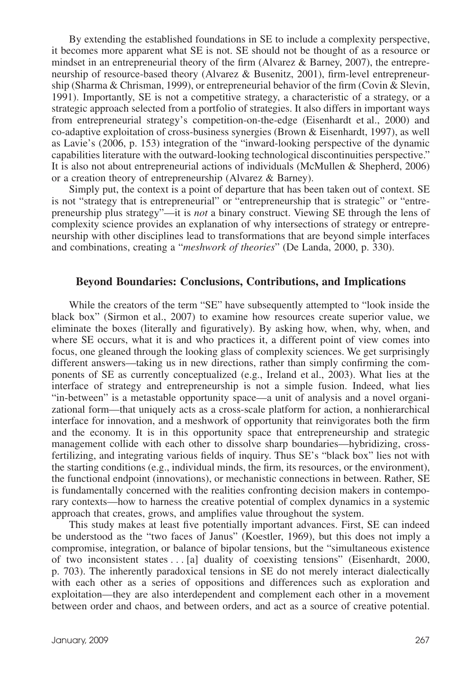By extending the established foundations in SE to include a complexity perspective, it becomes more apparent what SE is not. SE should not be thought of as a resource or mindset in an entrepreneurial theory of the firm (Alvarez & Barney, 2007), the entrepreneurship of resource-based theory (Alvarez & Busenitz, 2001), firm-level entrepreneurship (Sharma & Chrisman, 1999), or entrepreneurial behavior of the firm (Covin & Slevin, 1991). Importantly, SE is not a competitive strategy, a characteristic of a strategy, or a strategic approach selected from a portfolio of strategies. It also differs in important ways from entrepreneurial strategy's competition-on-the-edge (Eisenhardt et al., 2000) and co-adaptive exploitation of cross-business synergies (Brown & Eisenhardt, 1997), as well as Lavie's (2006, p. 153) integration of the "inward-looking perspective of the dynamic capabilities literature with the outward-looking technological discontinuities perspective." It is also not about entrepreneurial actions of individuals (McMullen & Shepherd, 2006) or a creation theory of entrepreneurship (Alvarez & Barney).

Simply put, the context is a point of departure that has been taken out of context. SE is not "strategy that is entrepreneurial" or "entrepreneurship that is strategic" or "entrepreneurship plus strategy"—it is *not* a binary construct. Viewing SE through the lens of complexity science provides an explanation of why intersections of strategy or entrepreneurship with other disciplines lead to transformations that are beyond simple interfaces and combinations, creating a "*meshwork of theories*" (De Landa, 2000, p. 330).

#### **Beyond Boundaries: Conclusions, Contributions, and Implications**

While the creators of the term "SE" have subsequently attempted to "look inside the black box" (Sirmon et al., 2007) to examine how resources create superior value, we eliminate the boxes (literally and figuratively). By asking how, when, why, when, and where SE occurs, what it is and who practices it, a different point of view comes into focus, one gleaned through the looking glass of complexity sciences. We get surprisingly different answers—taking us in new directions, rather than simply confirming the components of SE as currently conceptualized (e.g., Ireland et al., 2003). What lies at the interface of strategy and entrepreneurship is not a simple fusion. Indeed, what lies "in-between" is a metastable opportunity space—a unit of analysis and a novel organizational form—that uniquely acts as a cross-scale platform for action, a nonhierarchical interface for innovation, and a meshwork of opportunity that reinvigorates both the firm and the economy. It is in this opportunity space that entrepreneurship and strategic management collide with each other to dissolve sharp boundaries—hybridizing, crossfertilizing, and integrating various fields of inquiry. Thus SE's "black box" lies not with the starting conditions (e.g., individual minds, the firm, its resources, or the environment), the functional endpoint (innovations), or mechanistic connections in between. Rather, SE is fundamentally concerned with the realities confronting decision makers in contemporary contexts—how to harness the creative potential of complex dynamics in a systemic approach that creates, grows, and amplifies value throughout the system.

This study makes at least five potentially important advances. First, SE can indeed be understood as the "two faces of Janus" (Koestler, 1969), but this does not imply a compromise, integration, or balance of bipolar tensions, but the "simultaneous existence of two inconsistent states . . . [a] duality of coexisting tensions" (Eisenhardt, 2000, p. 703). The inherently paradoxical tensions in SE do not merely interact dialectically with each other as a series of oppositions and differences such as exploration and exploitation—they are also interdependent and complement each other in a movement between order and chaos, and between orders, and act as a source of creative potential.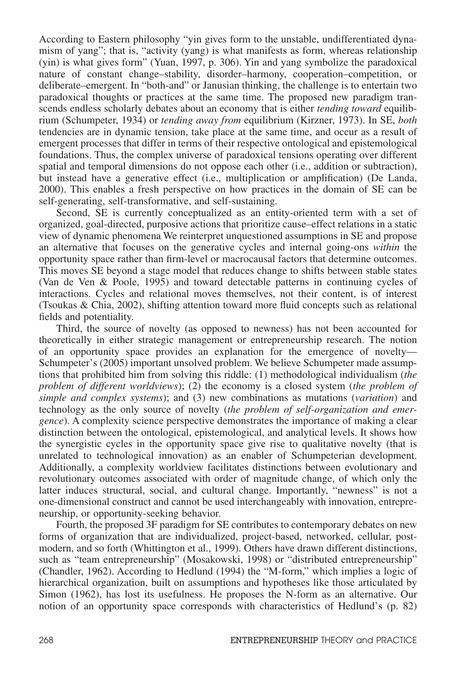According to Eastern philosophy "yin gives form to the unstable, undifferentiated dynamism of yang"; that is, "activity (yang) is what manifests as form, whereas relationship (yin) is what gives form" (Yuan, 1997, p. 306). Yin and yang symbolize the paradoxical nature of constant change–stability, disorder–harmony, cooperation–competition, or deliberate–emergent. In "both-and" or Janusian thinking, the challenge is to entertain two paradoxical thoughts or practices at the same time. The proposed new paradigm transcends endless scholarly debates about an economy that is either *tending toward* equilibrium (Schumpeter, 1934) or *tending away from* equilibrium (Kirzner, 1973). In SE, *both* tendencies are in dynamic tension, take place at the same time, and occur as a result of emergent processes that differ in terms of their respective ontological and epistemological foundations. Thus, the complex universe of paradoxical tensions operating over different spatial and temporal dimensions do not oppose each other (i.e., addition or subtraction), but instead have a generative effect (i.e., multiplication or amplification) (De Landa, 2000). This enables a fresh perspective on how practices in the domain of SE can be self-generating, self-transformative, and self-sustaining.

Second, SE is currently conceptualized as an entity-oriented term with a set of organized, goal-directed, purposive actions that prioritize cause–effect relations in a static view of dynamic phenomena We reinterpret unquestioned assumptions in SE and propose an alternative that focuses on the generative cycles and internal going-ons *within* the opportunity space rather than firm-level or macrocausal factors that determine outcomes. This moves SE beyond a stage model that reduces change to shifts between stable states (Van de Ven & Poole, 1995) and toward detectable patterns in continuing cycles of interactions. Cycles and relational moves themselves, not their content, is of interest (Tsoukas & Chia, 2002), shifting attention toward more fluid concepts such as relational fields and potentiality.

Third, the source of novelty (as opposed to newness) has not been accounted for theoretically in either strategic management or entrepreneurship research. The notion of an opportunity space provides an explanation for the emergence of novelty— Schumpeter's (2005) important unsolved problem. We believe Schumpeter made assumptions that prohibited him from solving this riddle: (1) methodological individualism (*the problem of different worldviews*); (2) the economy is a closed system (*the problem of simple and complex systems*); and (3) new combinations as mutations (*variation*) and technology as the only source of novelty (*the problem of self-organization and emergence*). A complexity science perspective demonstrates the importance of making a clear distinction between the ontological, epistemological, and analytical levels. It shows how the synergistic cycles in the opportunity space give rise to qualitative novelty (that is unrelated to technological innovation) as an enabler of Schumpeterian development. Additionally, a complexity worldview facilitates distinctions between evolutionary and revolutionary outcomes associated with order of magnitude change, of which only the latter induces structural, social, and cultural change. Importantly, "newness" is not a one-dimensional construct and cannot be used interchangeably with innovation, entrepreneurship, or opportunity-seeking behavior.

Fourth, the proposed 3F paradigm for SE contributes to contemporary debates on new forms of organization that are individualized, project-based, networked, cellular, postmodern, and so forth (Whittington et al., 1999). Others have drawn different distinctions, such as "team entrepreneurship" (Mosakowski, 1998) or "distributed entrepreneurship" (Chandler, 1962). According to Hedlund (1994) the "M-form," which implies a logic of hierarchical organization, built on assumptions and hypotheses like those articulated by Simon (1962), has lost its usefulness. He proposes the N-form as an alternative. Our notion of an opportunity space corresponds with characteristics of Hedlund's (p. 82)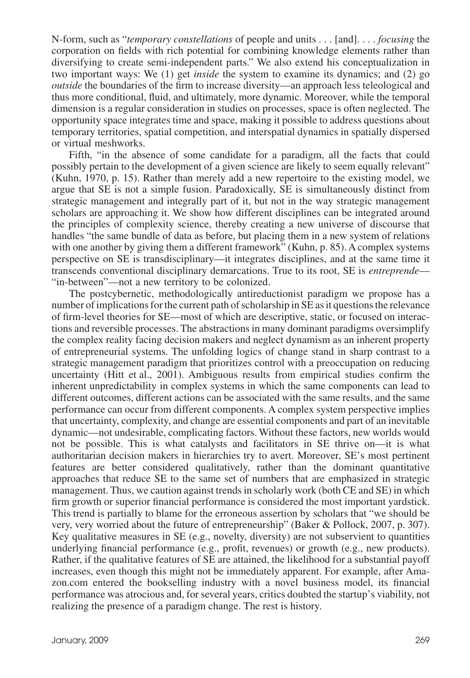N-form, such as "*temporary constellations* of people and units... [and].... *focusing* the corporation on fields with rich potential for combining knowledge elements rather than diversifying to create semi-independent parts." We also extend his conceptualization in two important ways: We (1) get *inside* the system to examine its dynamics; and (2) go *outside* the boundaries of the firm to increase diversity—an approach less teleological and thus more conditional, fluid, and ultimately, more dynamic. Moreover, while the temporal dimension is a regular consideration in studies on processes, space is often neglected. The opportunity space integrates time and space, making it possible to address questions about temporary territories, spatial competition, and interspatial dynamics in spatially dispersed or virtual meshworks.

Fifth, "in the absence of some candidate for a paradigm, all the facts that could possibly pertain to the development of a given science are likely to seem equally relevant" (Kuhn, 1970, p. 15). Rather than merely add a new repertoire to the existing model, we argue that SE is not a simple fusion. Paradoxically, SE is simultaneously distinct from strategic management and integrally part of it, but not in the way strategic management scholars are approaching it. We show how different disciplines can be integrated around the principles of complexity science, thereby creating a new universe of discourse that handles "the same bundle of data as before, but placing them in a new system of relations with one another by giving them a different framework" (Kuhn, p. 85). A complex systems perspective on SE is transdisciplinary—it integrates disciplines, and at the same time it transcends conventional disciplinary demarcations. True to its root, SE is *entreprende*— "in-between"—not a new territory to be colonized.

The postcybernetic, methodologically antireductionist paradigm we propose has a number of implications for the current path of scholarship in SE as it questions the relevance of firm-level theories for SE—most of which are descriptive, static, or focused on interactions and reversible processes. The abstractions in many dominant paradigms oversimplify the complex reality facing decision makers and neglect dynamism as an inherent property of entrepreneurial systems. The unfolding logics of change stand in sharp contrast to a strategic management paradigm that prioritizes control with a preoccupation on reducing uncertainty (Hitt et al., 2001). Ambiguous results from empirical studies confirm the inherent unpredictability in complex systems in which the same components can lead to different outcomes, different actions can be associated with the same results, and the same performance can occur from different components. A complex system perspective implies that uncertainty, complexity, and change are essential components and part of an inevitable dynamic—not undesirable, complicating factors. Without these factors, new worlds would not be possible. This is what catalysts and facilitators in SE thrive on—it is what authoritarian decision makers in hierarchies try to avert. Moreover, SE's most pertinent features are better considered qualitatively, rather than the dominant quantitative approaches that reduce SE to the same set of numbers that are emphasized in strategic management. Thus, we caution against trends in scholarly work (both CE and SE) in which firm growth or superior financial performance is considered the most important yardstick. This trend is partially to blame for the erroneous assertion by scholars that "we should be very, very worried about the future of entrepreneurship" (Baker & Pollock, 2007, p. 307). Key qualitative measures in SE (e.g., novelty, diversity) are not subservient to quantities underlying financial performance (e.g., profit, revenues) or growth (e.g., new products). Rather, if the qualitative features of SE are attained, the likelihood for a substantial payoff increases, even though this might not be immediately apparent. For example, after Amazon.com entered the bookselling industry with a novel business model, its financial performance was atrocious and, for several years, critics doubted the startup's viability, not realizing the presence of a paradigm change. The rest is history.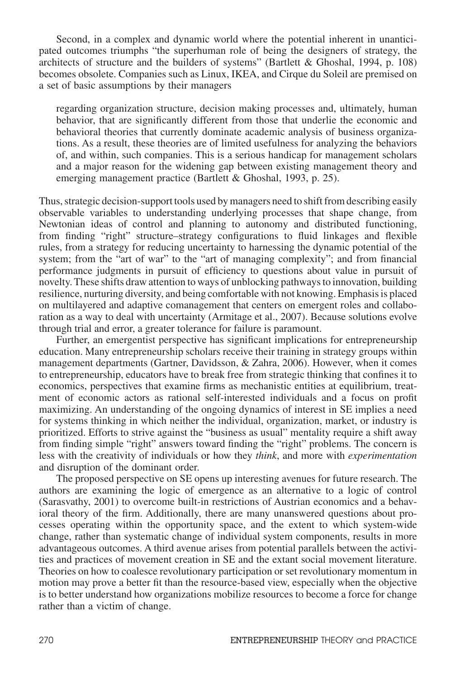Second, in a complex and dynamic world where the potential inherent in unanticipated outcomes triumphs "the superhuman role of being the designers of strategy, the architects of structure and the builders of systems" (Bartlett & Ghoshal, 1994, p. 108) becomes obsolete. Companies such as Linux, IKEA, and Cirque du Soleil are premised on a set of basic assumptions by their managers

regarding organization structure, decision making processes and, ultimately, human behavior, that are significantly different from those that underlie the economic and behavioral theories that currently dominate academic analysis of business organizations. As a result, these theories are of limited usefulness for analyzing the behaviors of, and within, such companies. This is a serious handicap for management scholars and a major reason for the widening gap between existing management theory and emerging management practice (Bartlett & Ghoshal, 1993, p. 25).

Thus, strategic decision-support tools used by managers need to shift from describing easily observable variables to understanding underlying processes that shape change, from Newtonian ideas of control and planning to autonomy and distributed functioning, from finding "right" structure–strategy configurations to fluid linkages and flexible rules, from a strategy for reducing uncertainty to harnessing the dynamic potential of the system; from the "art of war" to the "art of managing complexity"; and from financial performance judgments in pursuit of efficiency to questions about value in pursuit of novelty. These shifts draw attention to ways of unblocking pathways to innovation, building resilience, nurturing diversity, and being comfortable with not knowing. Emphasis is placed on multilayered and adaptive comanagement that centers on emergent roles and collaboration as a way to deal with uncertainty (Armitage et al., 2007). Because solutions evolve through trial and error, a greater tolerance for failure is paramount.

Further, an emergentist perspective has significant implications for entrepreneurship education. Many entrepreneurship scholars receive their training in strategy groups within management departments (Gartner, Davidsson, & Zahra, 2006). However, when it comes to entrepreneurship, educators have to break free from strategic thinking that confines it to economics, perspectives that examine firms as mechanistic entities at equilibrium, treatment of economic actors as rational self-interested individuals and a focus on profit maximizing. An understanding of the ongoing dynamics of interest in SE implies a need for systems thinking in which neither the individual, organization, market, or industry is prioritized. Efforts to strive against the "business as usual" mentality require a shift away from finding simple "right" answers toward finding the "right" problems. The concern is less with the creativity of individuals or how they *think*, and more with *experimentation* and disruption of the dominant order.

The proposed perspective on SE opens up interesting avenues for future research. The authors are examining the logic of emergence as an alternative to a logic of control (Sarasvathy, 2001) to overcome built-in restrictions of Austrian economics and a behavioral theory of the firm. Additionally, there are many unanswered questions about processes operating within the opportunity space, and the extent to which system-wide change, rather than systematic change of individual system components, results in more advantageous outcomes. A third avenue arises from potential parallels between the activities and practices of movement creation in SE and the extant social movement literature. Theories on how to coalesce revolutionary participation or set revolutionary momentum in motion may prove a better fit than the resource-based view, especially when the objective is to better understand how organizations mobilize resources to become a force for change rather than a victim of change.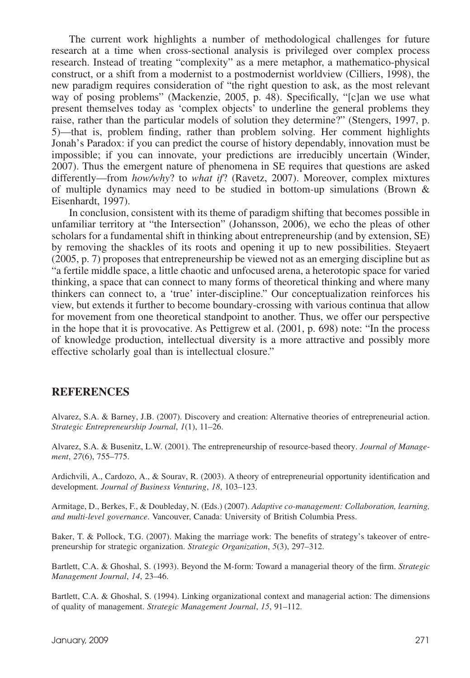The current work highlights a number of methodological challenges for future research at a time when cross-sectional analysis is privileged over complex process research. Instead of treating "complexity" as a mere metaphor, a mathematico-physical construct, or a shift from a modernist to a postmodernist worldview (Cilliers, 1998), the new paradigm requires consideration of "the right question to ask, as the most relevant way of posing problems" (Mackenzie, 2005, p. 48). Specifically, "[c]an we use what present themselves today as 'complex objects' to underline the general problems they raise, rather than the particular models of solution they determine?" (Stengers, 1997, p. 5)—that is, problem finding, rather than problem solving. Her comment highlights Jonah's Paradox: if you can predict the course of history dependably, innovation must be impossible; if you can innovate, your predictions are irreducibly uncertain (Winder, 2007). Thus the emergent nature of phenomena in SE requires that questions are asked differently—from *how/why*? to *what if*? (Ravetz, 2007). Moreover, complex mixtures of multiple dynamics may need to be studied in bottom-up simulations (Brown  $\&$ Eisenhardt, 1997).

In conclusion, consistent with its theme of paradigm shifting that becomes possible in unfamiliar territory at "the Intersection" (Johansson, 2006), we echo the pleas of other scholars for a fundamental shift in thinking about entrepreneurship (and by extension, SE) by removing the shackles of its roots and opening it up to new possibilities. Steyaert (2005, p. 7) proposes that entrepreneurship be viewed not as an emerging discipline but as "a fertile middle space, a little chaotic and unfocused arena, a heterotopic space for varied thinking, a space that can connect to many forms of theoretical thinking and where many thinkers can connect to, a 'true' inter-discipline." Our conceptualization reinforces his view, but extends it further to become boundary-crossing with various continua that allow for movement from one theoretical standpoint to another. Thus, we offer our perspective in the hope that it is provocative. As Pettigrew et al. (2001, p. 698) note: "In the process of knowledge production, intellectual diversity is a more attractive and possibly more effective scholarly goal than is intellectual closure."

#### **REFERENCES**

Alvarez, S.A. & Barney, J.B. (2007). Discovery and creation: Alternative theories of entrepreneurial action. *Strategic Entrepreneurship Journal*, *1*(1), 11–26.

Alvarez, S.A. & Busenitz, L.W. (2001). The entrepreneurship of resource-based theory. *Journal of Management*, *27*(6), 755–775.

Ardichvili, A., Cardozo, A., & Sourav, R. (2003). A theory of entrepreneurial opportunity identification and development. *Journal of Business Venturing*, *18*, 103–123.

Armitage, D., Berkes, F., & Doubleday, N. (Eds.) (2007). *Adaptive co-management: Collaboration, learning, and multi-level governance*. Vancouver, Canada: University of British Columbia Press.

Baker, T. & Pollock, T.G. (2007). Making the marriage work: The benefits of strategy's takeover of entrepreneurship for strategic organization. *Strategic Organization*, *5*(3), 297–312.

Bartlett, C.A. & Ghoshal, S. (1993). Beyond the M-form: Toward a managerial theory of the firm. *Strategic Management Journal*, *14*, 23–46.

Bartlett, C.A. & Ghoshal, S. (1994). Linking organizational context and managerial action: The dimensions of quality of management. *Strategic Management Journal*, *15*, 91–112.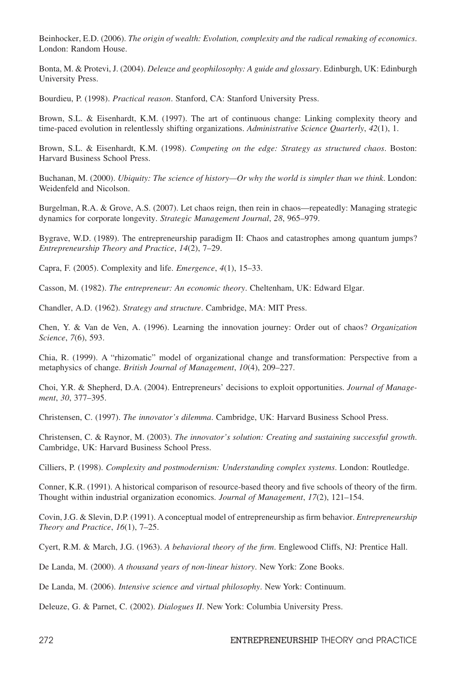Beinhocker, E.D. (2006). *The origin of wealth: Evolution, complexity and the radical remaking of economics*. London: Random House.

Bonta, M. & Protevi, J. (2004). *Deleuze and geophilosophy: A guide and glossary*. Edinburgh, UK: Edinburgh University Press.

Bourdieu, P. (1998). *Practical reason*. Stanford, CA: Stanford University Press.

Brown, S.L. & Eisenhardt, K.M. (1997). The art of continuous change: Linking complexity theory and time-paced evolution in relentlessly shifting organizations. *Administrative Science Quarterly*, *42*(1), 1.

Brown, S.L. & Eisenhardt, K.M. (1998). *Competing on the edge: Strategy as structured chaos*. Boston: Harvard Business School Press.

Buchanan, M. (2000). *Ubiquity: The science of history—Or why the world is simpler than we think*. London: Weidenfeld and Nicolson.

Burgelman, R.A. & Grove, A.S. (2007). Let chaos reign, then rein in chaos—repeatedly: Managing strategic dynamics for corporate longevity. *Strategic Management Journal*, *28*, 965–979.

Bygrave, W.D. (1989). The entrepreneurship paradigm II: Chaos and catastrophes among quantum jumps? *Entrepreneurship Theory and Practice*, *14*(2), 7–29.

Capra, F. (2005). Complexity and life. *Emergence*, *4*(1), 15–33.

Casson, M. (1982). *The entrepreneur: An economic theory*. Cheltenham, UK: Edward Elgar.

Chandler, A.D. (1962). *Strategy and structure*. Cambridge, MA: MIT Press.

Chen, Y. & Van de Ven, A. (1996). Learning the innovation journey: Order out of chaos? *Organization Science*, *7*(6), 593.

Chia, R. (1999). A "rhizomatic" model of organizational change and transformation: Perspective from a metaphysics of change. *British Journal of Management*, *10*(4), 209–227.

Choi, Y.R. & Shepherd, D.A. (2004). Entrepreneurs' decisions to exploit opportunities. *Journal of Management*, *30*, 377–395.

Christensen, C. (1997). *The innovator's dilemma*. Cambridge, UK: Harvard Business School Press.

Christensen, C. & Raynor, M. (2003). *The innovator's solution: Creating and sustaining successful growth*. Cambridge, UK: Harvard Business School Press.

Cilliers, P. (1998). *Complexity and postmodernism: Understanding complex systems*. London: Routledge.

Conner, K.R. (1991). A historical comparison of resource-based theory and five schools of theory of the firm. Thought within industrial organization economics. *Journal of Management*, *17*(2), 121–154.

Covin, J.G. & Slevin, D.P. (1991). A conceptual model of entrepreneurship as firm behavior. *Entrepreneurship Theory and Practice*, *16*(1), 7–25.

Cyert, R.M. & March, J.G. (1963). *A behavioral theory of the firm*. Englewood Cliffs, NJ: Prentice Hall.

De Landa, M. (2000). *A thousand years of non-linear history*. New York: Zone Books.

De Landa, M. (2006). *Intensive science and virtual philosophy*. New York: Continuum.

Deleuze, G. & Parnet, C. (2002). *Dialogues II*. New York: Columbia University Press.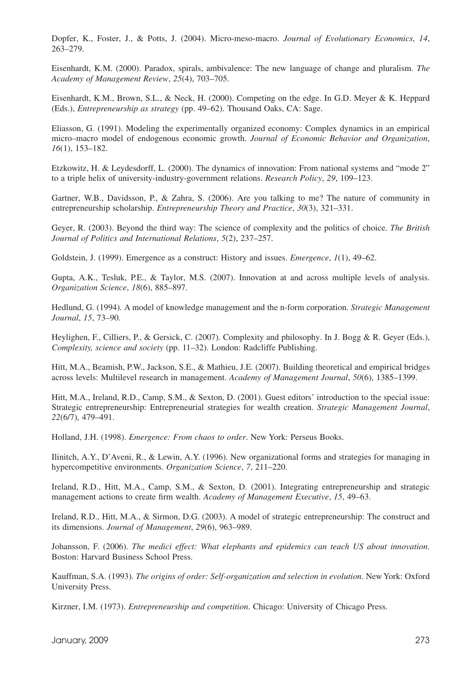Dopfer, K., Foster, J., & Potts, J. (2004). Micro-meso-macro. *Journal of Evolutionary Economics*, *14*, 263–279.

Eisenhardt, K.M. (2000). Paradox, spirals, ambivalence: The new language of change and pluralism. *The Academy of Management Review*, *25*(4), 703–705.

Eisenhardt, K.M., Brown, S.L., & Neck, H. (2000). Competing on the edge. In G.D. Meyer & K. Heppard (Eds.), *Entrepreneurship as strategy* (pp. 49–62). Thousand Oaks, CA: Sage.

Eliasson, G. (1991). Modeling the experimentally organized economy: Complex dynamics in an empirical micro–macro model of endogenous economic growth. *Journal of Economic Behavior and Organization*, *16*(1), 153–182.

Etzkowitz, H. & Leydesdorff, L. (2000). The dynamics of innovation: From national systems and "mode 2" to a triple helix of university-industry-government relations. *Research Policy*, *29*, 109–123.

Gartner, W.B., Davidsson, P., & Zahra, S. (2006). Are you talking to me? The nature of community in entrepreneurship scholarship. *Entrepreneurship Theory and Practice*, *30*(3), 321–331.

Geyer, R. (2003). Beyond the third way: The science of complexity and the politics of choice. *The British Journal of Politics and International Relations*, *5*(2), 237–257.

Goldstein, J. (1999). Emergence as a construct: History and issues. *Emergence*, *1*(1), 49–62.

Gupta, A.K., Tesluk, P.E., & Taylor, M.S. (2007). Innovation at and across multiple levels of analysis. *Organization Science*, *18*(6), 885–897.

Hedlund, G. (1994). A model of knowledge management and the n-form corporation. *Strategic Management Journal*, *15*, 73–90.

Heylighen, F., Cilliers, P., & Gersick, C. (2007). Complexity and philosophy. In J. Bogg & R. Geyer (Eds.), *Complexity, science and society* (pp. 11–32). London: Radcliffe Publishing.

Hitt, M.A., Beamish, P.W., Jackson, S.E., & Mathieu, J.E. (2007). Building theoretical and empirical bridges across levels: Multilevel research in management. *Academy of Management Journal*, *50*(6), 1385–1399.

Hitt, M.A., Ireland, R.D., Camp, S.M., & Sexton, D. (2001). Guest editors' introduction to the special issue: Strategic entrepreneurship: Entrepreneurial strategies for wealth creation. *Strategic Management Journal*, *22*(6/7), 479–491.

Holland, J.H. (1998). *Emergence: From chaos to order*. New York: Perseus Books.

Ilinitch, A.Y., D'Aveni, R., & Lewin, A.Y. (1996). New organizational forms and strategies for managing in hypercompetitive environments. *Organization Science*, *7*, 211–220.

Ireland, R.D., Hitt, M.A., Camp, S.M., & Sexton, D. (2001). Integrating entrepreneurship and strategic management actions to create firm wealth. *Academy of Management Executive*, *15*, 49–63.

Ireland, R.D., Hitt, M.A., & Sirmon, D.G. (2003). A model of strategic entrepreneurship: The construct and its dimensions. *Journal of Management*, *29*(6), 963–989.

Johansson, F. (2006). *The medici effect: What elephants and epidemics can teach US about innovation*. Boston: Harvard Business School Press.

Kauffman, S.A. (1993). *The origins of order: Self-organization and selection in evolution*. New York: Oxford University Press.

Kirzner, I.M. (1973). *Entrepreneurship and competition*. Chicago: University of Chicago Press.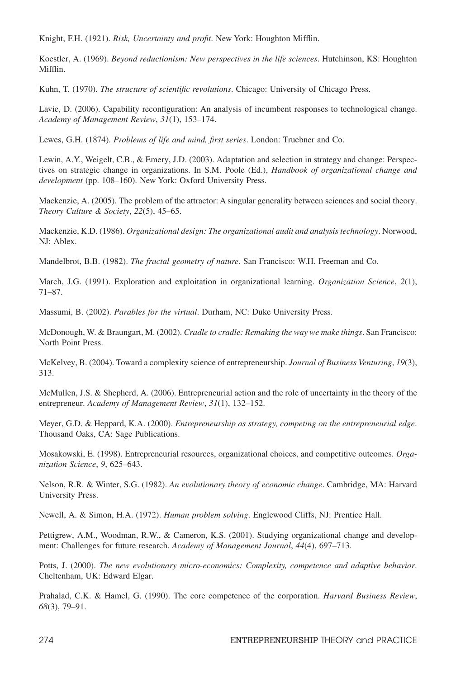Knight, F.H. (1921). *Risk, Uncertainty and profit*. New York: Houghton Mifflin.

Koestler, A. (1969). *Beyond reductionism: New perspectives in the life sciences*. Hutchinson, KS: Houghton Mifflin.

Kuhn, T. (1970). *The structure of scientific revolutions*. Chicago: University of Chicago Press.

Lavie, D. (2006). Capability reconfiguration: An analysis of incumbent responses to technological change. *Academy of Management Review*, *31*(1), 153–174.

Lewes, G.H. (1874). *Problems of life and mind, first series*. London: Truebner and Co.

Lewin, A.Y., Weigelt, C.B., & Emery, J.D. (2003). Adaptation and selection in strategy and change: Perspectives on strategic change in organizations. In S.M. Poole (Ed.), *Handbook of organizational change and development* (pp. 108–160). New York: Oxford University Press.

Mackenzie, A. (2005). The problem of the attractor: A singular generality between sciences and social theory. *Theory Culture & Society*, *22*(5), 45–65.

Mackenzie, K.D. (1986). *Organizational design: The organizational audit and analysis technology*. Norwood, NJ: Ablex.

Mandelbrot, B.B. (1982). *The fractal geometry of nature*. San Francisco: W.H. Freeman and Co.

March, J.G. (1991). Exploration and exploitation in organizational learning. *Organization Science*, *2*(1), 71–87.

Massumi, B. (2002). *Parables for the virtual*. Durham, NC: Duke University Press.

McDonough, W. & Braungart, M. (2002). *Cradle to cradle: Remaking the way we make things*. San Francisco: North Point Press.

McKelvey, B. (2004). Toward a complexity science of entrepreneurship. *Journal of Business Venturing*, *19*(3), 313.

McMullen, J.S. & Shepherd, A. (2006). Entrepreneurial action and the role of uncertainty in the theory of the entrepreneur. *Academy of Management Review*, *31*(1), 132–152.

Meyer, G.D. & Heppard, K.A. (2000). *Entrepreneurship as strategy, competing on the entrepreneurial edge*. Thousand Oaks, CA: Sage Publications.

Mosakowski, E. (1998). Entrepreneurial resources, organizational choices, and competitive outcomes. *Organization Science*, *9*, 625–643.

Nelson, R.R. & Winter, S.G. (1982). *An evolutionary theory of economic change*. Cambridge, MA: Harvard University Press.

Newell, A. & Simon, H.A. (1972). *Human problem solving*. Englewood Cliffs, NJ: Prentice Hall.

Pettigrew, A.M., Woodman, R.W., & Cameron, K.S. (2001). Studying organizational change and development: Challenges for future research. *Academy of Management Journal*, *44*(4), 697–713.

Potts, J. (2000). *The new evolutionary micro-economics: Complexity, competence and adaptive behavior*. Cheltenham, UK: Edward Elgar.

Prahalad, C.K. & Hamel, G. (1990). The core competence of the corporation. *Harvard Business Review*, *68*(3), 79–91.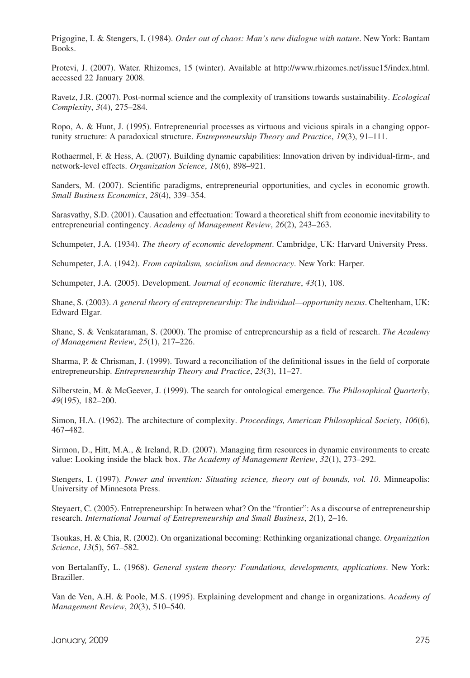Prigogine, I. & Stengers, I. (1984). *Order out of chaos: Man's new dialogue with nature*. New York: Bantam Books.

Protevi, J. (2007). Water. Rhizomes, 15 (winter). Available at [http://www.rhizomes.net/issue15/index.html.](http://www.rhizomes.net/issue15/index.html) accessed 22 January 2008.

Ravetz, J.R. (2007). Post-normal science and the complexity of transitions towards sustainability. *Ecological Complexity*, *3*(4), 275–284.

Ropo, A. & Hunt, J. (1995). Entrepreneurial processes as virtuous and vicious spirals in a changing opportunity structure: A paradoxical structure. *Entrepreneurship Theory and Practice*, *19*(3), 91–111.

Rothaermel, F. & Hess, A. (2007). Building dynamic capabilities: Innovation driven by individual-firm-, and network-level effects. *Organization Science*, *18*(6), 898–921.

Sanders, M. (2007). Scientific paradigms, entrepreneurial opportunities, and cycles in economic growth. *Small Business Economics*, *28*(4), 339–354.

Sarasvathy, S.D. (2001). Causation and effectuation: Toward a theoretical shift from economic inevitability to entrepreneurial contingency. *Academy of Management Review*, *26*(2), 243–263.

Schumpeter, J.A. (1934). *The theory of economic development*. Cambridge, UK: Harvard University Press.

Schumpeter, J.A. (1942). *From capitalism, socialism and democracy*. New York: Harper.

Schumpeter, J.A. (2005). Development. *Journal of economic literature*, *43*(1), 108.

Shane, S. (2003). *A general theory of entrepreneurship: The individual—opportunity nexus*. Cheltenham, UK: Edward Elgar.

Shane, S. & Venkataraman, S. (2000). The promise of entrepreneurship as a field of research. *The Academy of Management Review*, *25*(1), 217–226.

Sharma, P. & Chrisman, J. (1999). Toward a reconciliation of the definitional issues in the field of corporate entrepreneurship. *Entrepreneurship Theory and Practice*, *23*(3), 11–27.

Silberstein, M. & McGeever, J. (1999). The search for ontological emergence. *The Philosophical Quarterly*, *49*(195), 182–200.

Simon, H.A. (1962). The architecture of complexity. *Proceedings, American Philosophical Society*, *106*(6), 467–482.

Sirmon, D., Hitt, M.A., & Ireland, R.D. (2007). Managing firm resources in dynamic environments to create value: Looking inside the black box. *The Academy of Management Review*, *32*(1), 273–292.

Stengers, I. (1997). *Power and invention: Situating science, theory out of bounds, vol. 10*. Minneapolis: University of Minnesota Press.

Steyaert, C. (2005). Entrepreneurship: In between what? On the "frontier": As a discourse of entrepreneurship research. *International Journal of Entrepreneurship and Small Business*, *2*(1), 2–16.

Tsoukas, H. & Chia, R. (2002). On organizational becoming: Rethinking organizational change. *Organization Science*, *13*(5), 567–582.

von Bertalanffy, L. (1968). *General system theory: Foundations, developments, applications*. New York: Braziller.

Van de Ven, A.H. & Poole, M.S. (1995). Explaining development and change in organizations. *Academy of Management Review*, *20*(3), 510–540.